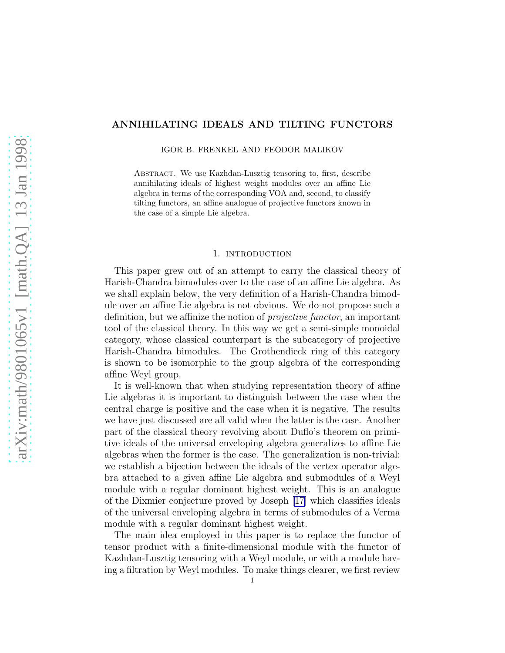# ANNIHILATING IDEALS AND TILTING FUNCTORS

IGOR B. FRENKEL AND FEODOR MALIKOV

Abstract. We use Kazhdan-Lusztig tensoring to, first, describe annihilating ideals of highest weight modules over an affine Lie algebra in terms of the corresponding VOA and, second, to classify tilting functors, an affine analogue of projective functors known in the case of a simple Lie algebra.

# 1. INTRODUCTION

This paper grew out of an attempt to carry the classical theory of Harish-Chandra bimodules over to the case of an affine Lie algebra. As we shall explain below, the very definition of a Harish-Chandra bimodule over an affine Lie algebra is not obvious. We do not propose such a definition, but we affinize the notion of projective functor, an important tool of the classical theory. In this way we get a semi-simple monoidal category, whose classical counterpart is the subcategory of projective Harish-Chandra bimodules. The Grothendieck ring of this category is shown to be isomorphic to the group algebra of the corresponding affine Weyl group.

It is well-known that when studying representation theory of affine Lie algebras it is important to distinguish between the case when the central charge is positive and the case when it is negative. The results we have just discussed are all valid when the latter is the case. Another part of the classical theory revolving about Duflo's theorem on primitive ideals of the universal enveloping algebra generalizes to affine Lie algebras when the former is the case. The generalization is non-trivial: we establish a bijection between the ideals of the vertex operator algebra attached to a given affine Lie algebra and submodules of a Weyl module with a regular dominant highest weight. This is an analogue of the Dixmier conjecture proved by Joseph [\[17](#page-28-0)] which classifies ideals of the universal enveloping algebra in terms of submodules of a Verma module with a regular dominant highest weight.

The main idea employed in this paper is to replace the functor of tensor product with a finite-dimensional module with the functor of Kazhdan-Lusztig tensoring with a Weyl module, or with a module having a filtration by Weyl modules. To make things clearer, we first review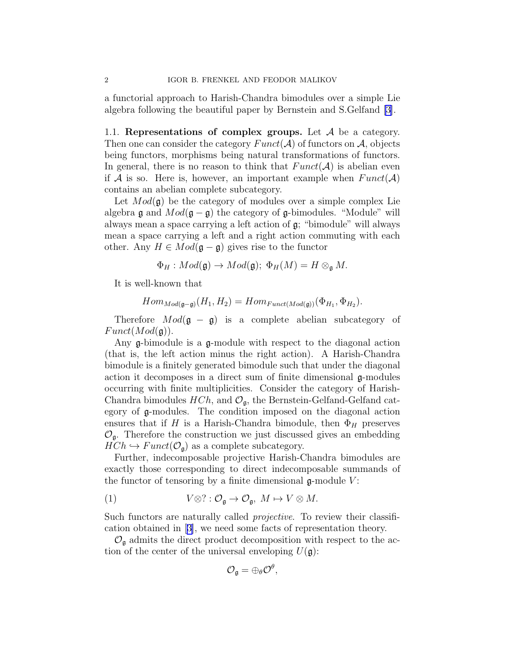a functorial approach to Harish-Chandra bimodules over a simple Lie algebra following the beautiful paper by Bernstein and S.Gelfand [\[3\]](#page-28-0).

1.1. Representations of complex groups. Let  $A$  be a category. Then one can consider the category  $Funct(\mathcal{A})$  of functors on  $\mathcal{A}$ , objects being functors, morphisms being natural transformations of functors. In general, there is no reason to think that  $Funct(\mathcal{A})$  is abelian even if A is so. Here is, however, an important example when  $Funct(\mathcal{A})$ contains an abelian complete subcategory.

Let  $Mod(\mathfrak{g})$  be the category of modules over a simple complex Lie algebra  $\mathfrak g$  and  $Mod(\mathfrak g - \mathfrak g)$  the category of  $\mathfrak g$ -bimodules. "Module" will always mean a space carrying a left action of g; "bimodule" will always mean a space carrying a left and a right action commuting with each other. Any  $H \in Mod(\mathfrak{g} - \mathfrak{g})$  gives rise to the functor

$$
\Phi_H: Mod(\mathfrak{g}) \to Mod(\mathfrak{g}); \ \Phi_H(M) = H \otimes_{\mathfrak{g}} M.
$$

It is well-known that

$$
Hom_{Mod(\mathfrak{g}-\mathfrak{g})}(H_1, H_2) = Hom_{Funct(Mod(\mathfrak{g}))}(\Phi_{H_1}, \Phi_{H_2}).
$$

Therefore  $Mod(\mathfrak{g} - \mathfrak{g})$  is a complete abelian subcategory of  $Funct(Mod(\mathfrak{g}))$ .

Any g-bimodule is a g-module with respect to the diagonal action (that is, the left action minus the right action). A Harish-Chandra bimodule is a finitely generated bimodule such that under the diagonal action it decomposes in a direct sum of finite dimensional  $\mathfrak{g}$ -modules occurring with finite multiplicities. Consider the category of Harish-Chandra bimodules  $HCh$ , and  $\mathcal{O}_{\mathfrak{a}}$ , the Bernstein-Gelfand-Gelfand category of g-modules. The condition imposed on the diagonal action ensures that if H is a Harish-Chandra bimodule, then  $\Phi_H$  preserves  $\mathcal{O}_{\mathfrak{g}}$ . Therefore the construction we just discussed gives an embedding  $HCh \hookrightarrow Funct(\mathcal{O}_{\mathfrak{g}})$  as a complete subcategory.

Further, indecomposable projective Harish-Chandra bimodules are exactly those corresponding to direct indecomposable summands of the functor of tensoring by a finite dimensional  $\mathfrak{g}\text{-module }V$ :

(1) 
$$
V \otimes ? : \mathcal{O}_{\mathfrak{g}} \to \mathcal{O}_{\mathfrak{g}}, M \mapsto V \otimes M.
$$

Such functors are naturally called *projective*. To review their classification obtained in[[3\]](#page-28-0), we need some facts of representation theory.

 $\mathcal{O}_{\mathfrak{g}}$  admits the direct product decomposition with respect to the action of the center of the universal enveloping  $U(\mathfrak{g})$ :

$$
{\cal O}_{\mathfrak{g}}=\oplus_\theta{\cal O}^\theta,
$$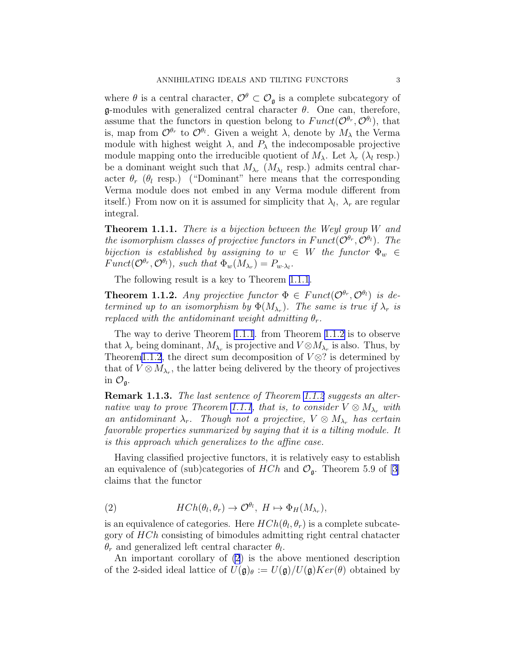<span id="page-2-0"></span>where  $\theta$  is a central character,  $\mathcal{O}^{\theta} \subset \mathcal{O}_{\mathfrak{g}}$  is a complete subcategory of  $\mathfrak g$ -modules with generalized central character  $\theta$ . One can, therefore, assume that the functors in question belong to  $Funct(\mathcal{O}^{\theta_r}, \mathcal{O}^{\theta_l})$ , that is, map from  $\mathcal{O}^{\theta_r}$  to  $\mathcal{O}^{\theta_l}$ . Given a weight  $\lambda$ , denote by  $M_\lambda$  the Verma module with highest weight  $\lambda$ , and  $P_{\lambda}$  the indecomposable projective module mapping onto the irreducible quotient of  $M_{\lambda}$ . Let  $\lambda_r$  ( $\lambda_l$  resp.) be a dominant weight such that  $M_{\lambda_r}$   $(M_{\lambda_l}$  resp.) admits central character  $\theta_r$  ( $\theta_l$  resp.) ("Dominant" here means that the corresponding Verma module does not embed in any Verma module different from itself.) From now on it is assumed for simplicity that  $\lambda_l$ ,  $\lambda_r$  are regular integral.

**Theorem 1.1.1.** There is a bijection between the Weyl group W and the isomorphism classes of projective functors in  $Funct(\mathcal{O}^{\theta_r}, \mathcal{O}^{\theta_l})$ . The bijection is established by assigning to  $w \in W$  the functor  $\Phi_w \in$  $Funct(\mathcal{O}^{\theta_r}, \mathcal{O}^{\theta_l})$ , such that  $\Phi_w(M_{\lambda_r}) = P_{w \cdot \lambda_l}$ .

The following result is a key to Theorem 1.1.1.

**Theorem 1.1.2.** Any projective functor  $\Phi \in Funct(\mathcal{O}^{\theta_r}, \mathcal{O}^{\theta_l})$  is determined up to an isomorphism by  $\Phi(M_{\lambda_r})$ . The same is true if  $\lambda_r$  is replaced with the antidominant weight admitting  $\theta_r$ .

The way to derive Theorem 1.1.1. from Theorem 1.1.2 is to observe that  $\lambda_r$  being dominant,  $M_{\lambda_r}$  is projective and  $V \otimes M_{\lambda_r}$  is also. Thus, by Theorem1.1.2, the direct sum decomposition of  $V \otimes ?$  is determined by that of  $V \otimes M_{\lambda_r}$ , the latter being delivered by the theory of projectives in  $\mathcal{O}_{\mathfrak{g}}$ .

Remark 1.1.3. The last sentence of Theorem 1.1.2 suggests an alternative way to prove Theorem 1.1.1, that is, to consider  $V \otimes M_{\lambda_r}$  with an antidominant  $\lambda_r$ . Though not a projective,  $V \otimes M_{\lambda_r}$  has certain favorable properties summarized by saying that it is a tilting module. It is this approach which generalizes to the affine case.

Having classified projective functors, it is relatively easy to establish an equivalence of (sub)categories of  $HCh$  and  $\mathcal{O}_{\mathfrak{g}}$ . Theorem 5.9 of [\[3](#page-28-0)] claims that the functor

(2) 
$$
HCh(\theta_l, \theta_r) \to \mathcal{O}^{\theta_l}, H \mapsto \Phi_H(M_{\lambda_r}),
$$

is an equivalence of categories. Here  $HCh(\theta_l, \theta_r)$  is a complete subcategory of HCh consisting of bimodules admitting right central chatacter  $\theta_r$  and generalized left central character  $\theta_l$ .

An important corollary of (2) is the above mentioned description of the 2-sided ideal lattice of  $U(\mathfrak{g})_{\theta} := U(\mathfrak{g})/U(\mathfrak{g})Ker(\theta)$  obtained by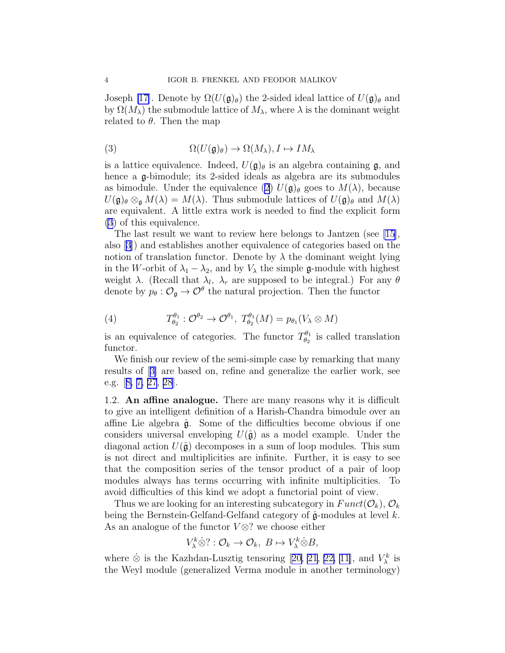<span id="page-3-0"></span>Joseph [\[17](#page-28-0)]. Denote by  $\Omega(U(\mathfrak{g})_{\theta})$  the 2-sided ideal lattice of  $U(\mathfrak{g})_{\theta}$  and by  $\Omega(M_\lambda)$  the submodule lattice of  $M_\lambda$ , where  $\lambda$  is the dominant weight related to  $\theta$ . Then the map

(3) 
$$
\Omega(U(\mathfrak{g})_{\theta}) \to \Omega(M_{\lambda}), I \mapsto IM_{\lambda}
$$

is a lattice equivalence. Indeed,  $U(\mathfrak{g})_\theta$  is an algebra containing  $\mathfrak{g}$ , and hence a g-bimodule; its 2-sided ideals as algebra are its submodules as bimodule. Under the equivalence [\(2\)](#page-2-0)  $U(\mathfrak{g})_{\theta}$  goes to  $M(\lambda)$ , because  $U(\mathfrak{g})_{\theta} \otimes_{\mathfrak{g}} M(\lambda) = M(\lambda)$ . Thus submodule lattices of  $U(\mathfrak{g})_{\theta}$  and  $M(\lambda)$ are equivalent. A little extra work is needed to find the explicit form (3) of this equivalence.

The last result we want to review here belongs to Jantzen (see [\[15\]](#page-28-0), also[[3\]](#page-28-0)) and establishes another equivalence of categories based on the notion of translation functor. Denote by  $\lambda$  the dominant weight lying in the W-orbit of  $\lambda_1 - \lambda_2$ , and by  $V_\lambda$  the simple g-module with highest weight  $\lambda$ . (Recall that  $\lambda_l$ ,  $\lambda_r$  are supposed to be integral.) For any  $\theta$ denote by  $p_{\theta}: \mathcal{O}_{\mathfrak{g}} \to \mathcal{O}^{\theta}$  the natural projection. Then the functor

(4) 
$$
T^{\theta_1}_{\theta_2}: \mathcal{O}^{\theta_2} \to \mathcal{O}^{\theta_1}, T^{\theta_1}_{\theta_2}(M) = p_{\theta_1}(V_{\lambda} \otimes M)
$$

is an equivalence of categories. The functor  $T^{\theta_1}_{\theta_2}$  $\frac{\partial^{0}1}{\partial 2}$  is called translation functor.

We finish our review of the semi-simple case by remarking that many results of[[3\]](#page-28-0) are based on, refine and generalize the earlier work, see e.g.[[8, 7, 27](#page-28-0), [28](#page-28-0)].

1.2. An affine analogue. There are many reasons why it is difficult to give an intelligent definition of a Harish-Chandra bimodule over an affine Lie algebra  $\hat{\mathfrak{g}}$ . Some of the difficulties become obvious if one considers universal enveloping  $U(\hat{\mathfrak{g}})$  as a model example. Under the diagonal action  $U(\hat{\mathfrak{g}})$  decomposes in a sum of loop modules. This sum is not direct and multiplicities are infinite. Further, it is easy to see that the composition series of the tensor product of a pair of loop modules always has terms occurring with infinite multiplicities. To avoid difficulties of this kind we adopt a functorial point of view.

Thus we are looking for an interesting subcategory in  $Funct(\mathcal{O}_k)$ ,  $\mathcal{O}_k$ being the Bernstein-Gelfand-Gelfand category of  $\hat{\mathfrak{g}}$ -modules at level k. As an analogue of the functor  $V \otimes ?$  we choose either

$$
V_{\lambda}^k \dot{\otimes} ? : \mathcal{O}_k \to \mathcal{O}_k, \ B \mapsto V_{\lambda}^k \dot{\otimes} B,
$$

where $\dot{\otimes}$  is the Kazhdan-Lusztig tensoring [[20, 21, 22, 11\]](#page-28-0), and  $V_{\lambda}^{k}$  is the Weyl module (generalized Verma module in another terminology)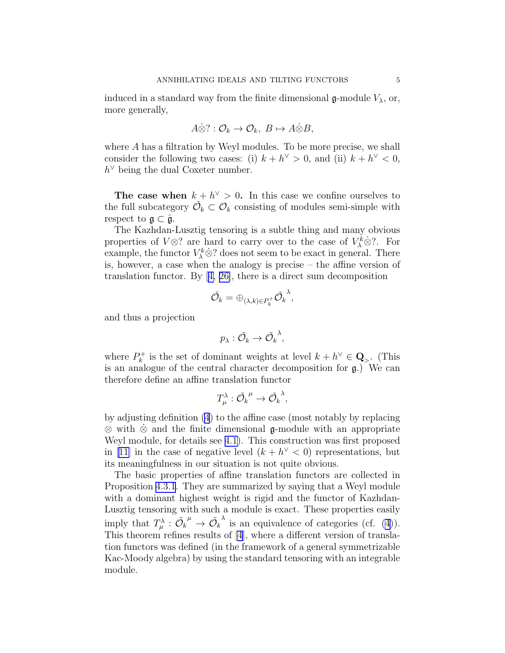induced in a standard way from the finite dimensional  $\mathfrak{g}\text{-module }V_{\lambda}$ , or, more generally,

$$
A\dot{\otimes} ? : \mathcal{O}_k \to \mathcal{O}_k, B \mapsto A\dot{\otimes} B,
$$

where A has a filtration by Weyl modules. To be more precise, we shall consider the following two cases: (i)  $k + h^{\vee} > 0$ , and (ii)  $k + h^{\vee} < 0$ ,  $h^{\vee}$  being the dual Coxeter number.

The case when  $k + h^{\vee} > 0$ . In this case we confine ourselves to the full subcategory  $\tilde{\mathcal{O}}_k \subset \mathcal{O}_k$  consisting of modules semi-simple with respect to  $\mathfrak{g} \subset \hat{\mathfrak{g}}$ .

The Kazhdan-Lusztig tensoring is a subtle thing and many obvious properties of  $V \otimes ?$  are hard to carry over to the case of  $V^k_\lambda \otimes ?$ . For example, the functor  $V^k_\lambda \dot{\otimes}$ ? does not seem to be exact in general. There is, however, a case when the analogy is precise – the affine version of translation functor. By[[4, 26\]](#page-28-0), there is a direct sum decomposition

$$
\tilde{\mathcal{O}_k}=\oplus_{(\lambda,k)\in P_k^+} \tilde{\mathcal{O}_k}^{\lambda},
$$

and thus a projection

$$
p_{\lambda}:\tilde{\mathcal{O}}_k\to\tilde{\mathcal{O}_{k}}^{\lambda},
$$

where  $P_k^+$  $h_k^+$  is the set of dominant weights at level  $k + h^{\vee} \in \mathbf{Q}_{\geq}$ . (This is an analogue of the central character decomposition for  $\mathfrak{g}$ .) We can therefore define an affine translation functor

$$
T^{\lambda}_{\mu}: \tilde{\mathcal{O}_{k}}^{\mu} \to \tilde{\mathcal{O}_{k}}^{\lambda},
$$

by adjusting definition [\(4](#page-3-0)) to the affine case (most notably by replacing ⊗ with ⊗˙ and the finite dimensional g-module with an appropriate Weyl module, for details see [4.1\)](#page-11-0). This construction was first proposed in [\[11\]](#page-28-0) in the case of negative level  $(k + h^{\vee} < 0)$  representations, but its meaningfulness in our situation is not quite obvious.

The basic properties of affine translation functors are collected in Proposition [4.3.1](#page-13-0). They are summarized by saying that a Weyl module with a dominant highest weight is rigid and the functor of Kazhdan-Lusztig tensoring with such a module is exact. These properties easily imply that  $T_{\mu}^{\lambda} : \tilde{\mathcal{O}_{k}}^{\mu} \to \tilde{\mathcal{O}_{k}}$  $\lambda$  is an equivalence of categories (cf. [\(4](#page-3-0))). This theorem refines results of [\[4](#page-28-0)], where a different version of translation functors was defined (in the framework of a general symmetrizable Kac-Moody algebra) by using the standard tensoring with an integrable module.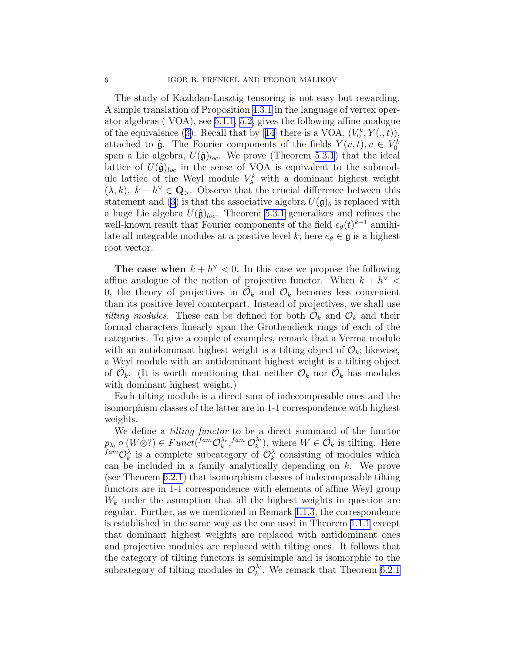The study of Kazhdan-Lusztig tensoring is not easy but rewarding. A simple translation of Proposition [4.3.1](#page-13-0) in the language of vertex operator algebras ( VOA), see [5.1.1](#page-16-0), [5.2,](#page-18-0) gives the following affine analogue ofthe equivalence ([3\)](#page-3-0). Recall that by [[14](#page-28-0)] there is a VOA,  $(V_0^k, Y(., t)),$ attached to  $\hat{\mathfrak{g}}$ . The Fourier components of the fields  $Y(v, t), v \in V_0^k$ span a Lie algebra,  $U(\hat{\mathfrak{g}})_{loc}$ . We prove (Theorem [5.3.1\)](#page-19-0) that the ideal lattice of  $U(\hat{\mathfrak{g}})_{loc}$  in the sense of VOA is equivalent to the submodule lattice of the Weyl module  $V^k_\lambda$  with a dominant highest weight  $(\lambda, k)$ ,  $k + h^{\vee} \in \mathbf{Q}_{>}.$  Observe that the crucial difference between this statementand ([3\)](#page-3-0) is that the associative algebra  $U(\mathfrak{g})_{\theta}$  is replaced with a huge Lie algebra  $U(\hat{\mathfrak{g}})_{loc}$ . Theorem [5.3.1](#page-19-0) generalizes and refines the well-known result that Fourier components of the field  $e_{\theta}(t)^{k+1}$  annihilate all integrable modules at a positive level k; here  $e_{\theta} \in \mathfrak{g}$  is a highest root vector.

The case when  $k + h^{\vee} < 0$ . In this case we propose the following affine analogue of the notion of projective functor. When  $k + h^{\vee}$ 0, the theory of projectives in  $\tilde{\mathcal{O}}_k$  and  $\mathcal{O}_k$  becomes less convenient than its positive level counterpart. Instead of projectives, we shall use tilting modules. These can be defined for both  $\tilde{\mathcal{O}}_k$  and  $\mathcal{O}_k$  and their formal characters linearly span the Grothendieck rings of each of the categories. To give a couple of examples, remark that a Verma module with an antidominant highest weight is a tilting object of  $\mathcal{O}_k$ ; likewise, a Weyl module with an antidominant highest weight is a tilting object of  $\tilde{\mathcal{O}}_k$ . (It is worth mentioning that neither  $\mathcal{O}_k$  nor  $\tilde{\mathcal{O}}_k$  has modules with dominant highest weight.)

Each tilting module is a direct sum of indecomposable ones and the isomorphism classes of the latter are in 1-1 correspondence with highest weights.

We define a tilting functor to be a direct summand of the functor  $p_{\lambda_l} \circ (W \dot{\otimes} ?) \in Funct({}^{fam} \mathcal{O}_k^{\lambda_r})$  $_{k}^{\lambda_{r}},$ fam  $\mathcal{O}_{k}^{\lambda_{l}}$  $\lambda_k^{\lambda_l}$ , where  $W \in \tilde{\mathcal{O}}_k$  is tilting. Here  $f^{am}\mathcal{O}_k^{\lambda}$  is a complete subcategory of  $\mathcal{O}_k^{\lambda}$  consisting of modules which can be included in a family analytically depending on k. We prove (see Theorem [6.2.1](#page-23-0)) that isomorphism classes of indecomposable tilting functors are in 1-1 correspondence with elements of affine Weyl group  $W_k$  under the asumption that all the highest weights in question are regular. Further, as we mentioned in Remark [1.1.3,](#page-2-0) the correspondence is established in the same way as the one used in Theorem [1.1.1](#page-2-0) except that dominant highest weights are replaced with antidominant ones and projective modules are replaced with tilting ones. It follows that the category of tilting functors is semisimple and is isomorphic to the subcategory of tilting modules in  $\mathcal{O}_k^{\lambda_l}$  $\lambda_k^{\lambda_l}$ . We remark that Theorem [6.2.1](#page-23-0)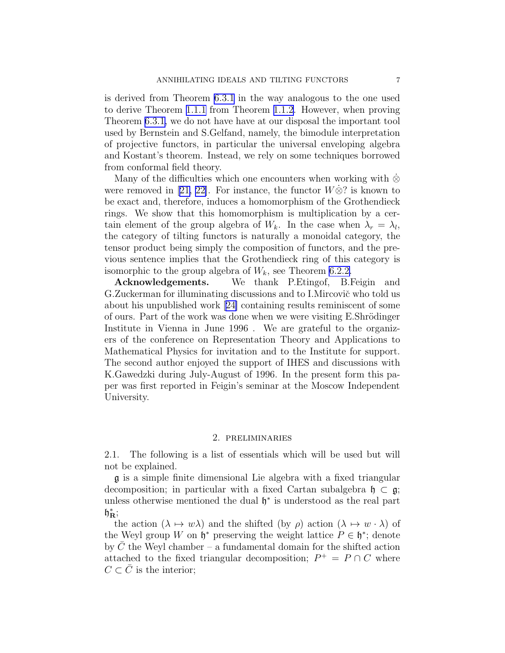<span id="page-6-0"></span>is derived from Theorem [6.3.1](#page-23-0) in the way analogous to the one used to derive Theorem [1.1.1](#page-2-0) from Theorem [1.1.2.](#page-2-0) However, when proving Theorem [6.3.1,](#page-23-0) we do not have have at our disposal the important tool used by Bernstein and S.Gelfand, namely, the bimodule interpretation of projective functors, in particular the universal enveloping algebra and Kostant's theorem. Instead, we rely on some techniques borrowed from conformal field theory.

Many of the difficulties which one encounters when working with ⊗ were removed in [\[21, 22\]](#page-28-0). For instance, the functor  $W\dot{\otimes}$ ? is known to be exact and, therefore, induces a homomorphism of the Grothendieck rings. We show that this homomorphism is multiplication by a certain element of the group algebra of  $W_k$ . In the case when  $\lambda_r = \lambda_l$ , the category of tilting functors is naturally a monoidal category, the tensor product being simply the composition of functors, and the previous sentence implies that the Grothendieck ring of this category is isomorphic to the group algebra of  $W_k$ , see Theorem [6.2.2.](#page-23-0)

Acknowledgements. We thank P.Etingof, B.Feigin and G.Zuckerman for illuminating discussions and to I.Mircovič who told us about his unpublished work[[24\]](#page-28-0) containing results reminiscent of some of ours. Part of the work was done when we were visiting E.Shrödinger Institute in Vienna in June 1996 . We are grateful to the organizers of the conference on Representation Theory and Applications to Mathematical Physics for invitation and to the Institute for support. The second author enjoyed the support of IHES and discussions with K.Gawedzki during July-August of 1996. In the present form this paper was first reported in Feigin's seminar at the Moscow Independent University.

### 2. preliminaries

2.1. The following is a list of essentials which will be used but will not be explained.

g is a simple finite dimensional Lie algebra with a fixed triangular decomposition; in particular with a fixed Cartan subalgebra  $\mathfrak{h} \subset \mathfrak{g}$ ; unless otherwise mentioned the dual  $\mathfrak{h}^*$  is understood as the real part  $\mathfrak{h}_{\mathbf{R}}^*$ 

the action  $(\lambda \mapsto w\lambda)$  and the shifted (by  $\rho$ ) action  $(\lambda \mapsto w \cdot \lambda)$  of the Weyl group W on  $\mathfrak{h}^*$  preserving the weight lattice  $P \in \mathfrak{h}^*$ ; denote by  $C$  the Weyl chamber – a fundamental domain for the shifted action attached to the fixed triangular decomposition;  $P^+ = P \cap C$  where  $C \subset C$  is the interior;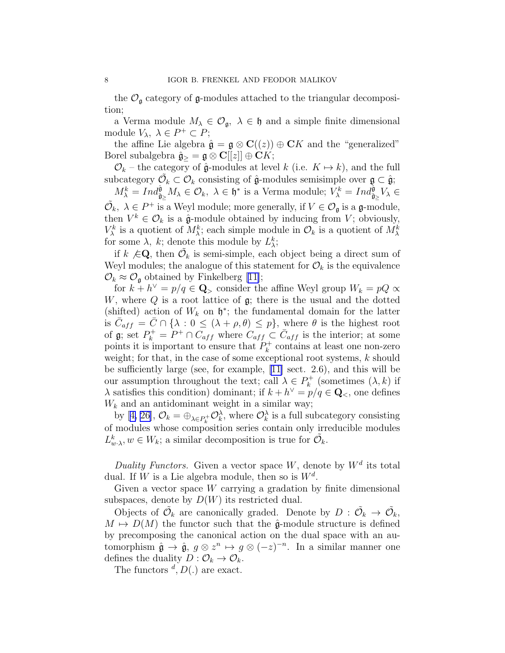the  $\mathcal{O}_{\mathfrak{g}}$  category of  $\mathfrak{g}$ -modules attached to the triangular decomposition;

a Verma module  $M_{\lambda} \in \mathcal{O}_{\mathfrak{g}}, \lambda \in \mathfrak{h}$  and a simple finite dimensional module  $V_{\lambda}$ ,  $\lambda \in P^+ \subset P$ ;

the affine Lie algebra  $\hat{\mathfrak{g}} = \mathfrak{g} \otimes \mathbf{C}((z)) \oplus \mathbf{C}K$  and the "generalized" Borel subalgebra  $\hat{\mathfrak{g}}_{\geq} = \mathfrak{g} \otimes \mathbf{C}[[z]] \oplus \widetilde{\mathbf{C}}K;$ 

 $\mathcal{O}_k$  – the category of  $\hat{\mathfrak{g}}$ -modules at level k (i.e.  $K \mapsto k$ ), and the full subcategory  $\tilde{\mathcal{O}}_k \subset \mathcal{O}_k$  consisting of  $\hat{\mathfrak{g}}$ -modules semisimple over  $\mathfrak{g} \subset \hat{\mathfrak{g}}$ ;

 $M_{\lambda}^{k} = Ind_{\hat{\mathfrak{g}}_{\geq}}^{\hat{\mathfrak{g}}} M_{\lambda} \in \mathcal{O}_{k}, \ \lambda \in \mathfrak{h}^{*}$  is a Verma module;  $V_{\lambda}^{k} = Ind_{\hat{\mathfrak{g}}_{\geq}}^{\hat{\mathfrak{g}}} V_{\lambda} \in$  $\tilde{\mathcal{O}}_k, \lambda \in P^+$  is a Weyl module; more generally, if  $V \in \mathcal{O}_{\mathfrak{g}}$  is a  $\mathfrak{g}\text{-module}$ , then  $V^k \in \mathcal{O}_k$  is a  $\hat{\mathfrak{g}}$ -module obtained by inducing from V; obviously,  $V_{\lambda}^{k}$  is a quotient of  $M_{\lambda}^{k}$ ; each simple module in  $\mathcal{O}_{k}$  is a quotient of  $M_{\lambda}^{k}$ for some  $\lambda$ , k; denote this module by  $L_{\lambda}^{k}$ ;

if  $k \notin \mathbb{Q}$ , then  $\tilde{\mathcal{O}}_k$  is semi-simple, each object being a direct sum of Weyl modules; the analogue of this statement for  $\mathcal{O}_k$  is the equivalence  $\mathcal{O}_k \approx \mathcal{O}_\mathfrak{g}$  $\mathcal{O}_k \approx \mathcal{O}_\mathfrak{g}$  $\mathcal{O}_k \approx \mathcal{O}_\mathfrak{g}$  obtained by Finkelberg [[11\]](#page-28-0);

for  $k + h^{\vee} = p/q \in \mathbf{Q}$ , consider the affine Weyl group  $W_k = pQ \propto$ W, where  $Q$  is a root lattice of  $\mathfrak{g}$ ; there is the usual and the dotted (shifted) action of  $W_k$  on  $\mathfrak{h}^*$ ; the fundamental domain for the latter is  $\bar{C}_{aff} = \bar{C} \cap \{\lambda : 0 \leq (\lambda + \rho, \theta) \leq p\}$ , where  $\theta$  is the highest root of  $\mathfrak{g}$ ; set  $P_k^+ = P^+ \cap C_{aff}$  where  $C_{aff} \subset \bar{C}_{aff}$  is the interior; at some points it is important to ensure that  $P_k^+$  $k_k^+$  contains at least one non-zero weight; for that, in the case of some exceptional root systems, k should be sufficiently large (see, for example, [\[11\]](#page-28-0) sect. 2.6), and this will be our assumption throughout the text; call  $\lambda \in P_k^+$  $k^+$  (sometimes  $(\lambda, k)$  if  $\lambda$  satisfies this condition) dominant; if  $k + h^{\vee} = p/q \in \mathbf{Q}_{<}$ , one defines  $W_k$  and an antidominant weight in a similar way;

by[[4, 26](#page-28-0)],  $\mathcal{O}_k = \bigoplus_{\lambda \in P_k^+} \mathcal{O}_k^{\lambda}$ , where  $\mathcal{O}_k^{\lambda}$  is a full subcategory consisting of modules whose composition series contain only irreducible modules  $L^k_{w\cdot\lambda}, w \in W_k$ ; a similar decomposition is true for  $\tilde{\mathcal{O}}_k$ .

Duality Functors. Given a vector space W, denote by  $W^d$  its total dual. If W is a Lie algebra module, then so is  $W^d$ .

Given a vector space  $W$  carrying a gradation by finite dimensional subspaces, denote by  $D(W)$  its restricted dual.

Objects of  $\tilde{\mathcal{O}}_k$  are canonically graded. Denote by  $D: \tilde{\mathcal{O}}_k \to \tilde{\mathcal{O}}_k$ ,  $M \mapsto D(M)$  the functor such that the  $\hat{\mathfrak{g}}$ -module structure is defined by precomposing the canonical action on the dual space with an automorphism  $\hat{\mathfrak{g}} \to \hat{\mathfrak{g}}, g \otimes z^n \mapsto g \otimes (-z)^{-n}$ . In a similar manner one defines the duality  $D: \mathcal{O}_k \to \mathcal{O}_k$ .

The functors  $d, D(.)$  are exact.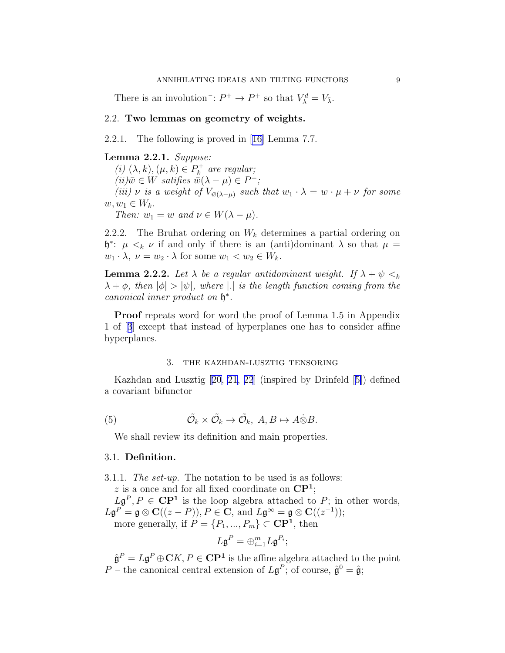<span id="page-8-0"></span>There is an involution<sup>-</sup>:  $P^+ \to P^+$  so that  $V^d_\lambda = V_{\bar{\lambda}}$ .

# 2.2. Two lemmas on geometry of weights.

2.2.1. The following is proved in[[16\]](#page-28-0) Lemma 7.7.

### Lemma 2.2.1. Suppose:

(i)  $(\lambda, k), (\mu, k) \in P_k^+$  $k^+$  are regular;  $(ii) \bar{w} \in W$  satifies  $\bar{w}(\lambda - \mu) \in P^+$ ; (iii)  $\nu$  is a weight of  $V_{\bar{w}(\lambda-\mu)}$  such that  $w_1 \cdot \lambda = w \cdot \mu + \nu$  for some  $w, w_1 \in W_k$ .

Then:  $w_1 = w$  and  $\nu \in W(\lambda - \mu)$ .

2.2.2. The Bruhat ordering on  $W_k$  determines a partial ordering on  $\mathfrak{h}^*$ :  $\mu <_{k} \nu$  if and only if there is an (anti)dominant  $\lambda$  so that  $\mu =$  $w_1 \cdot \lambda$ ,  $\nu = w_2 \cdot \lambda$  for some  $w_1 < w_2 \in W_k$ .

**Lemma 2.2.2.** Let  $\lambda$  be a regular antidominant weight. If  $\lambda + \psi \leq_k$  $\lambda + \phi$ , then  $|\phi| > |\psi|$ , where  $|\phi|$  is the length function coming from the canonical inner product on h ∗ .

Proof repeats word for word the proof of Lemma 1.5 in Appendix 1 of[[3](#page-28-0)] except that instead of hyperplanes one has to consider affine hyperplanes.

# 3. the kazhdan-lusztig tensoring

Kazhdan and Lusztig[[20, 21, 22](#page-28-0)] (inspired by Drinfeld[[5\]](#page-28-0)) defined a covariant bifunctor

(5) 
$$
\tilde{\mathcal{O}}_k \times \tilde{\mathcal{O}}_k \to \tilde{\mathcal{O}}_k, A, B \mapsto A \dot{\otimes} B.
$$

We shall review its definition and main properties.

# 3.1. Definition.

3.1.1. The set-up. The notation to be used is as follows: z is a once and for all fixed coordinate on  $\mathbb{C}P^1$ ;  $L\mathfrak{g}^P, P \in \mathbf{CP}^1$  is the loop algebra attached to P; in other words,  $L\mathfrak{g}^P = \mathfrak{g} \otimes \mathbf{C}((z-P)), P \in \mathbf{C}$ , and  $L\mathfrak{g}^{\infty} = \mathfrak{g} \otimes \mathbf{C}((z^{-1}));$ more generally, if  $P = \{P_1, ..., P_m\} \subset \mathbb{C}\mathbb{P}^1$ , then

$$
L\mathfrak{g}^{P}=\oplus_{i=1}^{m}L\mathfrak{g}^{P_{i}};
$$

 $\hat{\mathfrak{g}}^P = L\mathfrak{g}^P \oplus \mathbf{C} K, P \in \mathbf{C} \mathbf{P}^1$  is the affine algebra attached to the point P – the canonical central extension of  $L\mathfrak{g}^P$ ; of course,  $\hat{\mathfrak{g}}^0 = \hat{\mathfrak{g}}$ ;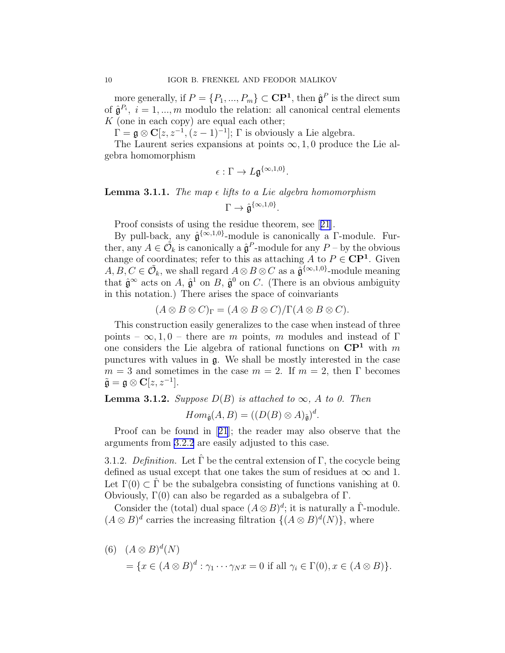<span id="page-9-0"></span>more generally, if  $P = \{P_1, ..., P_m\} \subset \mathbb{C}\mathbb{P}^1$ , then  $\hat{\mathfrak{g}}^P$  is the direct sum of  $\hat{\mathfrak{g}}^{P_i}$ ,  $i = 1, ..., m$  modulo the relation: all canonical central elements  $K$  (one in each copy) are equal each other;

 $\Gamma = \mathfrak{g} \otimes \mathbf{C}[z, z^{-1}, (z-1)^{-1}]$ ;  $\Gamma$  is obviously a Lie algebra.

The Laurent series expansions at points  $\infty$ , 1, 0 produce the Lie algebra homomorphism

$$
\epsilon:\Gamma\to L\mathfrak{g}^{\{\infty,1,0\}}.
$$

# **Lemma 3.1.1.** The map  $\epsilon$  lifts to a Lie algebra homomorphism  $\Gamma \rightarrow \hat{\mathfrak{g}}^{\{\infty,1,0\}}.$

Proof consists of using the residue theorem, see[[21](#page-28-0)].

By pull-back, any  $\hat{\mathfrak{g}}^{\{\infty,1,0\}}$ -module is canonically a  $\Gamma$ -module. Further, any  $A \in \tilde{\mathcal{O}}_k$  is canonically a  $\hat{\mathfrak{g}}^P$ -module for any  $P$  – by the obvious change of coordinates; refer to this as attaching  $\overrightarrow{A}$  to  $P \in \mathbb{C}P^1$ . Given  $A, B, C \in \tilde{\mathcal{O}}_k$ , we shall regard  $A \otimes B \otimes C$  as a  $\tilde{\mathfrak{g}}^{\{\infty,1,0\}}$ -module meaning that  $\hat{\mathfrak{g}}^{\infty}$  acts on A,  $\hat{\mathfrak{g}}^1$  on B,  $\hat{\mathfrak{g}}^0$  on C. (There is an obvious ambiguity in this notation.) There arises the space of coinvariants

$$
(A \otimes B \otimes C)_{\Gamma} = (A \otimes B \otimes C)/\Gamma(A \otimes B \otimes C).
$$

This construction easily generalizes to the case when instead of three points –  $\infty$ , 1, 0 – there are m points, m modules and instead of Γ one considers the Lie algebra of rational functions on  $\mathbb{C}P^1$  with m punctures with values in g. We shall be mostly interested in the case  $m = 3$  and sometimes in the case  $m = 2$ . If  $m = 2$ , then  $\Gamma$  becomes  $\tilde{\mathfrak{g}} = \mathfrak{g} \otimes \mathbf{C}[z, z^{-1}].$ 

**Lemma 3.1.2.** Suppose  $D(B)$  is attached to  $\infty$ , A to 0. Then

$$
Hom_{\hat{\mathfrak{g}}}(A, B) = ((D(B) \otimes A)_{\tilde{\mathfrak{g}}})^d.
$$

Proof can be found in[[21](#page-28-0)]; the reader may also observe that the arguments from [3.2.2](#page-10-0) are easily adjusted to this case.

3.1.2. Definition. Let  $\hat{\Gamma}$  be the central extension of  $\Gamma$ , the cocycle being defined as usual except that one takes the sum of residues at  $\infty$  and 1. Let  $\Gamma(0) \subset \Gamma$  be the subalgebra consisting of functions vanishing at 0. Obviously, Γ(0) can also be regarded as a subalgebra of Γ.

Consider the (total) dual space  $(A \otimes B)^d$ ; it is naturally a  $\hat{\Gamma}$ -module.  $(A \otimes B)^d$  carries the increasing filtration  $\{(A \otimes B)^d(N)\}\)$ , where

(6) 
$$
(A \otimes B)^d(N)
$$
  
=  $\{x \in (A \otimes B)^d : \gamma_1 \cdots \gamma_N x = 0 \text{ if all } \gamma_i \in \Gamma(0), x \in (A \otimes B)\}.$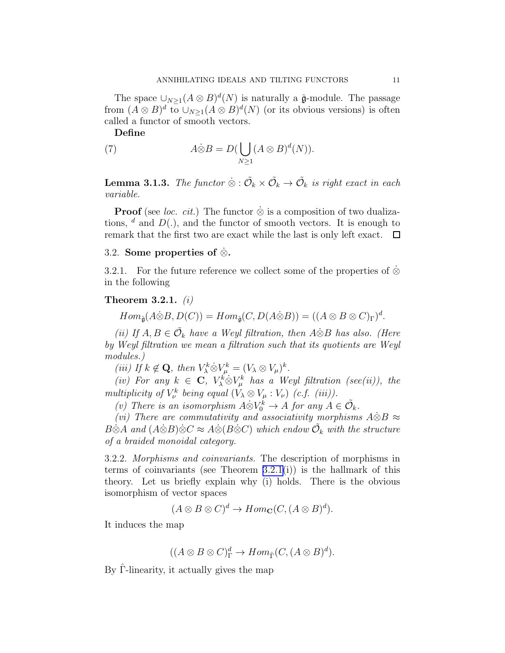<span id="page-10-0"></span>The space  $\bigcup_{N\geq 1}(A\otimes B)^d(N)$  is naturally a  $\hat{\mathfrak{g}}$ -module. The passage from  $(A \otimes B)^d$  to  $\cup_{N \geq 1} (A \otimes B)^d(N)$  (or its obvious versions) is often called a functor of smooth vectors.

Define

(7) 
$$
A \dot{\otimes} B = D \left( \bigcup_{N \ge 1} (A \otimes B)^d(N) \right).
$$

**Lemma 3.1.3.** The functor  $\dot{\otimes}$  :  $\tilde{\mathcal{O}}_k \times \tilde{\mathcal{O}}_k \to \tilde{\mathcal{O}}_k$  is right exact in each variable.

**Proof** (see *loc. cit.*) The functor  $\dot{\otimes}$  is a composition of two dualizations,  $d$  and  $D(.)$ , and the functor of smooth vectors. It is enough to remark that the first two are exact while the last is only left exact.  $\Box$ 

### 3.2. Some properties of  $\otimes$ .

3.2.1. For the future reference we collect some of the properties of  $\otimes$ in the following

# Theorem 3.2.1.  $(i)$

$$
Hom_{\hat{\mathfrak{g}}}(A \dot{\otimes} B, D(C)) = Hom_{\hat{\mathfrak{g}}}(C, D(A \dot{\otimes} B)) = ((A \otimes B \otimes C)_{\Gamma})^{d}.
$$

(ii) If  $A, B \in \tilde{\mathcal{O}}_k$  have a Weyl filtration, then  $A \dot{\otimes} B$  has also. (Here by Weyl filtration we mean a filtration such that its quotients are Weyl modules.)

(iii) If  $k \notin \mathbf{Q}$ , then  $V^k_{\lambda} \dot{\otimes} V^k_{\mu} = (V_{\lambda} \otimes V_{\mu})^k$ .

(iv) For any  $k \in \mathbb{C}$ ,  $V_{\lambda}^k \otimes V_{\mu}^k$  has a Weyl filtration (see(ii)), the multiplicity of  $V^k_\nu$  being equal  $(V_\lambda \otimes V_\mu : V_\nu)$  (c.f. (iii)).

(v) There is an isomorphism  $A\ddot{\otimes}V_0^k \to A$  for any  $A \in \tilde{\mathcal{O}}_k$ .

(vi) There are commutativity and associativity morphisms  $\dot{A} \dot{\otimes} B \approx$  $B\dot{\otimes}A$  and  $(A\dot{\otimes}B)\dot{\otimes}C\approx A\dot{\otimes}(B\dot{\otimes}C)$  which endow  $\tilde{\mathcal{O}}_k$  with the structure of a braided monoidal category.

3.2.2. Morphisms and coinvariants. The description of morphisms in terms of coinvariants (see Theorem 3.2.1(i)) is the hallmark of this theory. Let us briefly explain why (i) holds. There is the obvious isomorphism of vector spaces

$$
(A \otimes B \otimes C)^d \to Hom_{\mathbf{C}}(C, (A \otimes B)^d).
$$

It induces the map

$$
((A \otimes B \otimes C)_{\Gamma}^d \to Hom_{\hat{\Gamma}}(C, (A \otimes B)^d).
$$

By Γ-linearity, it actually gives the map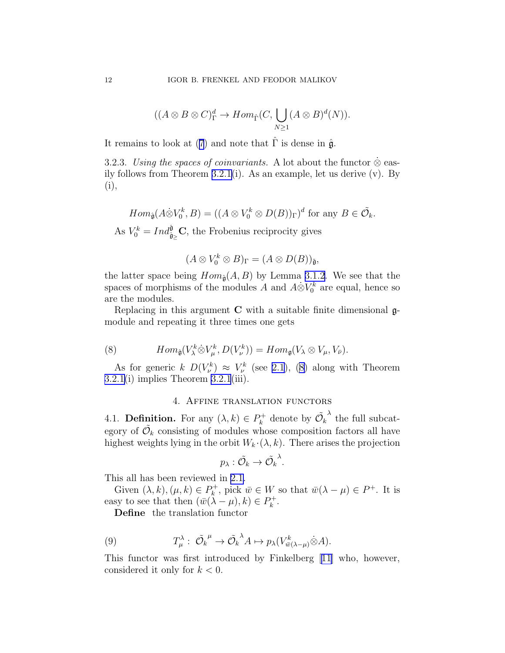$$
((A \otimes B \otimes C)\Gammad \to Hom\hat{\Gamma}(C, \bigcup_{N \geq 1} (A \otimes B)^{d}(N)).
$$

<span id="page-11-0"></span>Itremains to look at ([7](#page-10-0)) and note that  $\hat{\Gamma}$  is dense in  $\hat{\mathfrak{g}}$ .

3.2.3. Using the spaces of coinvariants. A lot about the functor  $\dot{\otimes}$  easily follows from Theorem [3.2.1\(](#page-10-0)i). As an example, let us derive (v). By (i),

$$
Hom_{\hat{\mathfrak{g}}}(A\dot{\otimes} V_0^k, B) = ((A \otimes V_0^k \otimes D(B))_{\Gamma})^d \text{ for any } B \in \tilde{\mathcal{O}}_k.
$$

As  $V_0^k = Ind_{\hat{\mathfrak{g}}_{\geq}}^{\hat{\mathfrak{g}}} \mathbf{C}$ , the Frobenius reciprocity gives

$$
(A\otimes V_0^k\otimes B)_\Gamma=(A\otimes D(B))_{\tilde{\mathfrak{g}}},
$$

the latter space being  $Hom_{\hat{\mathfrak{g}}}(A, B)$  by Lemma [3.1.2.](#page-9-0) We see that the spaces of morphisms of the modules A and  $A\dot{\otimes}V_0^k$  are equal, hence so are the modules.

Replacing in this argument  $C$  with a suitable finite dimensional  $\mathfrak{g}$ module and repeating it three times one gets

(8) 
$$
Hom_{\hat{\mathfrak{g}}}(V_{\lambda}^k \hat{\otimes} V_{\mu}^k, D(V_{\nu}^k)) = Hom_{\mathfrak{g}}(V_{\lambda} \otimes V_{\mu}, V_{\bar{\nu}}).
$$

As for generic  $k D(V^k_\nu) \approx V^k_\nu$  (see [2.1\)](#page-6-0), (8) along with Theorem  $3.2.1(i)$  $3.2.1(i)$  implies Theorem  $3.2.1(iii)$ .

# 4. Affine translation functors

4.1. **Definition.** For any  $(\lambda, k) \in P_k^+$  $\mathcal{O}_k^+$  denote by  $\tilde{\mathcal{O}}_k$  $\lambda$  the full subcategory of  $\tilde{\mathcal{O}}_k$  consisting of modules whose composition factors all have highest weights lying in the orbit  $W_k \cdot (\lambda, k)$ . There arises the projection

$$
p_\lambda: \tilde{\mathcal{O}_k} \rightarrow \tilde{\mathcal{O}_k}^\lambda.
$$

This all has been reviewed in [2.1.](#page-6-0)

Given  $(\lambda, k), (\mu, k) \in P_k^+$  $\overline{w}_k^+$ , pick  $\overline{w} \in W$  so that  $\overline{w}(\lambda - \mu) \in P^+$ . It is easy to see that then  $(\bar{w}(\lambda - \mu), k) \in P_k^+$  $\frac{k+1}{k}$ 

Define the translation functor

(9) 
$$
T^{\lambda}_{\mu}: \tilde{\mathcal{O}_{k}}^{\mu} \to \tilde{\mathcal{O}_{k}}^{\lambda} A \mapsto p_{\lambda}(V^{k}_{\bar{w}(\lambda-\mu)} \dot{\otimes} A).
$$

This functor was first introduced by Finkelberg[[11\]](#page-28-0) who, however, considered it only for  $k < 0$ .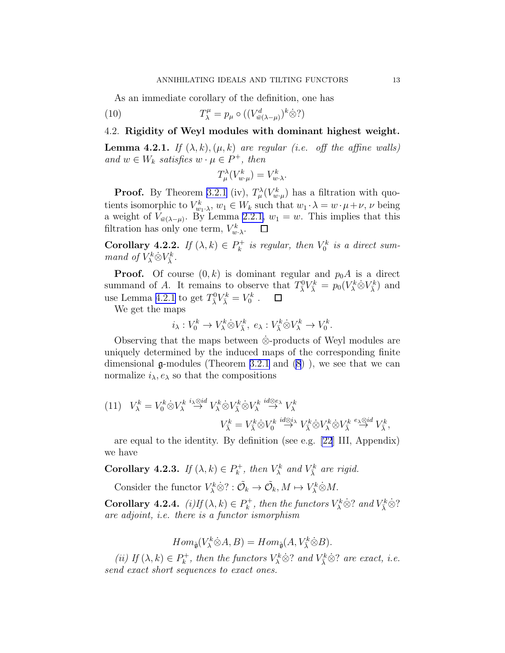<span id="page-12-0"></span>As an immediate corollary of the definition, one has

(10) 
$$
T^{\mu}_{\lambda} = p_{\mu} \circ ((V^{d}_{\bar{w}(\lambda-\mu)})^{k} \dot{\otimes} ?)
$$

# 4.2. Rigidity of Weyl modules with dominant highest weight.

**Lemma 4.2.1.** If  $(\lambda, k), (\mu, k)$  are regular (i.e. off the affine walls) and  $w \in W_k$  satisfies  $w \cdot \mu \in P^+$ , then

$$
T^{\lambda}_{\mu}(V^k_{w \cdot \mu}) = V^k_{w \cdot \lambda}.
$$

**Proof.** By Theorem [3.2.1](#page-10-0) (iv),  $T_{\mu}^{\lambda}(V_{w,\mu}^{k})$  has a filtration with quotients isomorphic to  $V_{w_1,\lambda}^k$ ,  $w_1 \in W_k$  such that  $w_1 \cdot \lambda = w \cdot \mu + \nu$ ,  $\nu$  being a weight of  $V_{\bar{w}(\lambda-\mu)}$ . By Lemma [2.2.1,](#page-8-0)  $w_1=w$ . This implies that this filtration has only one term,  $V_{w\cdot\lambda}^k$ .  $\Box$ 

Corollary 4.2.2. If  $(\lambda, k) \in P_k^+$  $N_k^+$  is regular, then  $V_0^k$  is a direct summand of  $V_{\lambda}^k \dot{\otimes} V_{\overline{\lambda}}^k$ .

**Proof.** Of course  $(0, k)$  is dominant regular and  $p_0A$  is a direct summand of A. It remains to observe that  $T_{\bar{\lambda}}^0 V_{\bar{\lambda}}^k = p_0(V_{\lambda}^k \otimes V_{\bar{\lambda}}^k)$  and use Lemma 4.2.1 to get  $T_{\overline{\lambda}}^0 V_{\overline{\lambda}}^k = V_0^k$ .  $\Box$ 

We get the maps

$$
i_{\lambda}: V_0^k \to V_{\lambda}^k \dot{\otimes} V_{\bar{\lambda}}^k, e_{\lambda}: V_{\bar{\lambda}}^k \dot{\otimes} V_{\lambda}^k \to V_0^k.
$$

Observing that the maps between  $\otimes$ -products of Weyl modules are uniquely determined by the induced maps of the corresponding finite dimensional  $\mathfrak{g}\text{-modules}$  (Theorem [3.2.1](#page-10-0) and  $(8)$ ), we see that we can normalize  $i_{\lambda}, e_{\lambda}$  so that the compositions

(11) 
$$
V_{\lambda}^{k} = V_{0}^{k} \otimes V_{\lambda}^{k} \stackrel{i_{\lambda} \otimes id}{\rightarrow} V_{\lambda}^{k} \otimes V_{\lambda}^{k} \otimes V_{\lambda}^{k} \stackrel{id \otimes e_{\lambda}}{\rightarrow} V_{\lambda}^{k}
$$

$$
V_{\lambda}^{k} = V_{\lambda}^{k} \otimes V_{0}^{k} \stackrel{id \otimes i_{\lambda}}{\rightarrow} V_{\lambda}^{k} \otimes V_{\lambda}^{k} \otimes V_{\lambda}^{k} \otimes V_{\lambda}^{k} \stackrel{e_{\lambda} \otimes id}{\rightarrow} V_{\lambda}^{k},
$$

are equal to the identity. By definition (see e.g. [\[22](#page-28-0)] III, Appendix) we have

Corollary 4.2.3. If  $(\lambda, k) \in P_k^+$  $N_k^+$ , then  $V_{\lambda}^k$  and  $V_{\overline{\lambda}}^k$  are rigid.

Consider the functor  $V^k_\lambda \dot{\otimes} ? : \tilde{\mathcal{O}}_k \to \tilde{\mathcal{O}}_k, M \mapsto V^k_\lambda \dot{\otimes} M$ .

Corollary 4.2.4.  $(i) If (\lambda, k) \in P_k^+$  $\mathcal{W}_k^+$ , then the functors  $V^k_\lambda \hat{\otimes} ?$  and  $V^k_{\overline{\lambda}} \hat{\otimes} ?$ are adjoint, i.e. there is a functor ismorphism

$$
Hom_{\hat{\mathfrak{g}}}(V_{\lambda}^{k}\dot{\otimes}A,B)=Hom_{\hat{\mathfrak{g}}}(A,V_{\overline{\lambda}}^{k}\dot{\otimes}B).
$$

(ii) If  $(\lambda, k) \in P_k^+$  $V_k^+$ , then the functors  $V_\lambda^k \dot{\otimes}$ ? and  $V_{\overline{\lambda}}^k \dot{\otimes}$ ? are exact, i.e. send exact short sequences to exact ones.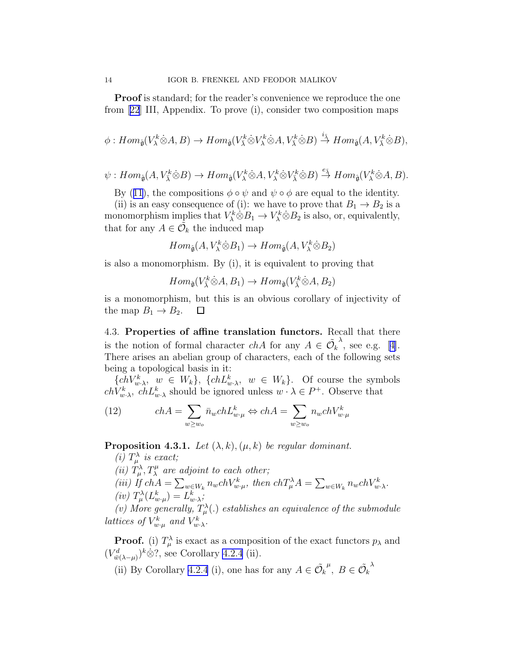<span id="page-13-0"></span>**Proof** is standard; for the reader's convenience we reproduce the one from[[22](#page-28-0)] III, Appendix. To prove (i), consider two composition maps

$$
\phi:Hom_{\hat{\mathfrak g}}(V_{\lambda}^k\dot{\otimes}A,B)\to Hom_{\hat{\mathfrak g}}(V_{\overline{\lambda}}^k\dot{\otimes}V_{\lambda}^k\dot{\otimes}A,V_{\overline{\lambda}}^k\dot{\otimes}B)\stackrel{i_{\overline{\lambda}}}{\to}Hom_{\hat{\mathfrak g}}(A,V_{\overline{\lambda}}^k\dot{\otimes}B),
$$

$$
\psi:Hom_{\hat{\mathfrak{g}}}(A,V_{\bar{\lambda}}^k \dot{\otimes} B) \to Hom_{\hat{\mathfrak{g}}}(V_{\lambda}^k \dot{\otimes} A,V_{\lambda}^k \dot{\otimes} V_{\bar{\lambda}}^k \dot{\otimes} B) \stackrel{e_{\bar{\lambda}}}{\to} Hom_{\hat{\mathfrak{g}}}(V_{\lambda}^k \dot{\otimes} A,B).
$$

By([11](#page-12-0)), the compositions  $\phi \circ \psi$  and  $\psi \circ \phi$  are equal to the identity.

(ii) is an easy consequence of (i): we have to prove that  $B_1 \rightarrow B_2$  is a monomorphism implies that  $V^k_\lambda \dot{\otimes} B_1 \to V^k_\lambda \dot{\otimes} B_2$  is also, or, equivalently, that for any  $A \in \tilde{\mathcal{O}}_k$  the induced map

$$
Hom_{\hat{\mathfrak{g}}}(A, V_{\lambda}^k \dot{\otimes} B_1) \to Hom_{\hat{\mathfrak{g}}}(A, V_{\lambda}^k \dot{\otimes} B_2)
$$

is also a monomorphism. By (i), it is equivalent to proving that

$$
Hom_{\hat{\mathfrak{g}}}(V_{\bar{\lambda}}^k \dot{\otimes} A, B_1) \to Hom_{\hat{\mathfrak{g}}}(V_{\bar{\lambda}}^k \dot{\otimes} A, B_2)
$$

k

is a monomorphism, but this is an obvious corollary of injectivity of the map  $B_1 \rightarrow B_2$ . ப

4.3. Properties of affine translation functors. Recall that there is the notion of formal character  $chA$  for any  $A \in \tilde{\mathcal{O}}_k$  $\lambda$ ,see e.g. [[4\]](#page-28-0). There arises an abelian group of characters, each of the following sets being a topological basis in it:

 ${kch}V_{w\lambda}^k$ ,  $w \in W_k$ ,  ${kch}L_{w\lambda}^k$ ,  $w \in W_k$ . Of course the symbols  $chV_{w\cdot\lambda}^k$ ,  $chL_{w\cdot\lambda}^k$  should be ignored unless  $w \cdot \lambda \in P^+$ . Observe that

(12) 
$$
chA = \sum_{w \ge w_o} \bar{n}_w chL_{w\cdot\mu}^k \Leftrightarrow chA = \sum_{w \ge w_o} n_w chV_{w\cdot\mu}^k
$$

**Proposition 4.3.1.** Let  $(\lambda, k), (\mu, k)$  be regular dominant.

(i)  $T_{\mu}^{\lambda}$  is exact; (ii)  $T^{\lambda}_{\mu}, T^{\mu}_{\lambda}$  are adjoint to each other; (iii) If  $chA = \sum_{w \in W_k} n_w chV_{w \cdot \mu}^k$ , then  $chT_\mu^{\lambda} A = \sum_{w \in W_k} n_w chV_{w \cdot \lambda}^k$ . (iv)  $T^{\lambda}_{\mu}(L^k_{w \cdot \mu}) = L^k_{w \cdot \lambda};$ (v) More generally,  $T_{\mu}^{\lambda}$ (.) establishes an equivalence of the submodule

lattices of  $V_{w \cdot \mu}^k$  and  $V_{w \cdot \lambda}^k$ .

**Proof.** (i)  $T^{\lambda}_{\mu}$  is exact as a composition of the exact functors  $p_{\lambda}$  and  $(V^d_{\bar{w}(\lambda-\mu)})^k \dot{\otimes} ?$ , see Corollary [4.2.4](#page-12-0) (ii).

(ii) By Corollary [4.2.4](#page-12-0) (i), one has for any  $A \in \tilde{\mathcal{O}}_k$ <sup> $\mu$ </sup>,  $B \in \tilde{\mathcal{O}}_k$ λ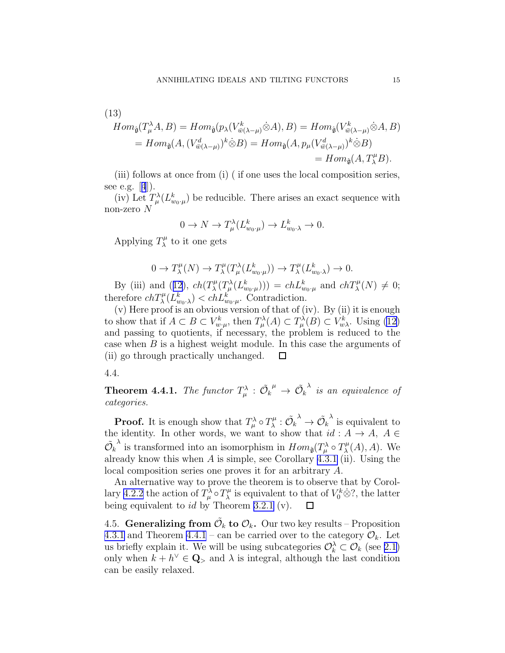(13)  
\n
$$
Hom_{\hat{\mathfrak{g}}}(T_{\mu}^{\lambda}A, B) = Hom_{\hat{\mathfrak{g}}}(p_{\lambda}(V_{\bar{w}(\lambda-\mu)}^k \dot{\otimes} A), B) = Hom_{\hat{\mathfrak{g}}}(V_{\bar{w}(\lambda-\mu)}^k \dot{\otimes} A, B)
$$
\n
$$
= Hom_{\hat{\mathfrak{g}}}(A, (V_{\bar{w}(\lambda-\mu)}^d)^k \dot{\otimes} B) = Hom_{\hat{\mathfrak{g}}}(A, p_{\mu}(V_{\bar{w}(\lambda-\mu)}^d)^k \dot{\otimes} B)
$$
\n
$$
= Hom_{\hat{\mathfrak{g}}}(A, T_{\lambda}^{\mu}B).
$$

(iii) follows at once from (i) ( if one uses the local composition series, seee.g.  $[4]$  $[4]$  $[4]$ ).

(iv) Let  $T^{\lambda}_{\mu}(L^k_{w_0,\mu})$  be reducible. There arises an exact sequence with non-zero  $N$ 

$$
0 \to N \to T^{\lambda}_{\mu}(L^{k}_{w_0 \cdot \mu}) \to L^{k}_{w_0 \cdot \lambda} \to 0.
$$

Applying  $T_\lambda^\mu$  $\chi^{\mu}$  to it one gets

$$
0 \to T_{\lambda}^{\mu}(N) \to T_{\lambda}^{\mu}(T_{\mu}^{\lambda}(L_{w_0 \cdot \mu}^k)) \to T_{\lambda}^{\mu}(L_{w_0 \cdot \lambda}^k) \to 0.
$$

By(iii) and ([12](#page-13-0)),  $ch(T^{\mu}_{\lambda})$  $\chi^{\mu}(T^{\lambda}_{\mu}(L^{k}_{w_0\cdot\mu}))) = chL^{k}_{w_0\cdot\mu}$  and  $chT^{\mu}_{\lambda}(N) \neq 0;$ therefore  $ch T_{\lambda}^{\mu}(L_{w_0,\lambda}^k) < ch L_{w_0,\mu}^k$ . Contradiction.

(v) Here proof is an obvious version of that of (iv). By (ii) it is enough to show that if  $A \subset B \subset V_{w \cdot \mu}^k$ , then  $T_\mu^{\lambda}(A) \subset T_\mu^{\lambda}(B) \subset V_{w \lambda}^k$ . Using [\(12\)](#page-13-0) and passing to quotients, if necessary, the problem is reduced to the case when  $B$  is a highest weight module. In this case the arguments of (ii) go through practically unchanged.  $\Box$ 

4.4.

**Theorem 4.4.1.** The functor  $T^{\lambda}_{\mu}$  :  $\tilde{\mathcal{O}}_k^{\mu} \to \tilde{\mathcal{O}}_k$  $\lambda$  is an equivalence of categories.

**Proof.** It is enough show that  $T^{\lambda}_{\mu} \circ T^{\mu}_{\lambda}$  $\stackrel{\cdot \mu}{\lambda} : \tilde{\mathcal{O}_k}$  $\stackrel{\lambda}{\rightarrow} \tilde{\mathcal{O}_k}$  $\lambda$  is equivalent to the identity. In other words, we want to show that  $id: A \rightarrow A, A \in$  $\tilde{\mathcal{O}}_k$  $\lambda$  is transformed into an isomorphism in  $Hom_{\hat{\mathfrak{g}}}(T^{\lambda}_{\mu} \circ T^{\mu}_{\lambda})$  $\chi^{\mu}(A), A$ ). We already know this when  $A$  is simple, see Corollary [4.3.1](#page-13-0) (ii). Using the local composition series one proves it for an arbitrary A.

An alternative way to prove the theorem is to observe that by Corol-lary [4.2.2](#page-12-0) the action of  $T^{\lambda}_{\mu} \circ T^{\mu}_{\lambda}$  $\chi^{\mu}$  is equivalent to that of  $V_0^k \dot{\otimes} ?$ , the latter being equivalent to  $id$  by Theorem [3.2.1](#page-10-0) (v).  $\Box$ 

4.5. Generalizing from  $\tilde{\mathcal{O}}_k$  to  $\mathcal{O}_k$ . Our two key results – Proposition [4.3.1](#page-13-0) and Theorem 4.4.1 – can be carried over to the category  $\mathcal{O}_k$ . Let us briefly explain it. We will be using subcategories  $\mathcal{O}_k^{\lambda} \subset \mathcal{O}_k$  (see [2.1\)](#page-6-0) only when  $k + h^{\vee} \in \mathbf{Q}_{>}\$  and  $\lambda$  is integral, although the last condition can be easily relaxed.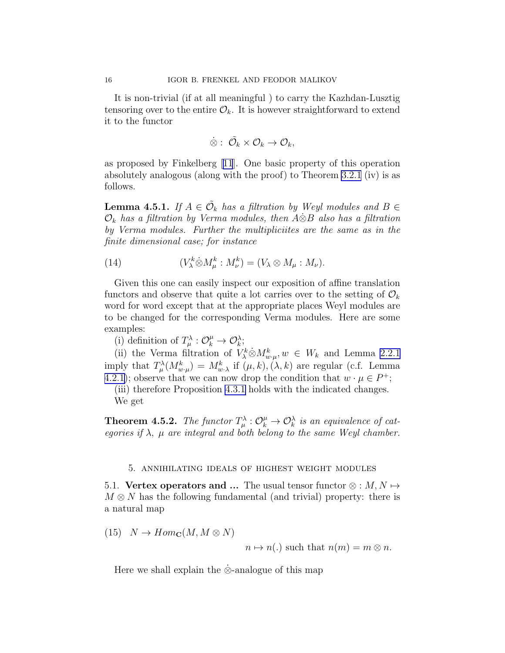<span id="page-15-0"></span>It is non-trivial (if at all meaningful ) to carry the Kazhdan-Lusztig tensoring over to the entire  $\mathcal{O}_k$ . It is however straightforward to extend it to the functor

$$
\dot{\otimes}:\; \tilde{\mathcal{O}_k} \times \mathcal{O}_k \rightarrow \mathcal{O}_k,
$$

as proposed by Finkelberg[[11](#page-28-0)]. One basic property of this operation absolutely analogous (along with the proof) to Theorem [3.2.1](#page-10-0) (iv) is as follows.

**Lemma 4.5.1.** If  $A \in \tilde{\mathcal{O}}_k$  has a filtration by Weyl modules and  $B \in$  $\mathcal{O}_k$  has a filtration by Verma modules, then A⊗B also has a filtration by Verma modules. Further the multipliciites are the same as in the finite dimensional case; for instance

(14) 
$$
(V^k_\lambda \dot{\otimes} M^k_\mu : M^k_\nu) = (V_\lambda \otimes M_\mu : M_\nu).
$$

Given this one can easily inspect our exposition of affine translation functors and observe that quite a lot carries over to the setting of  $\mathcal{O}_k$ word for word except that at the appropriate places Weyl modules are to be changed for the corresponding Verma modules. Here are some examples:

(i) definition of  $T_{\mu}^{\lambda} : \mathcal{O}_{k}^{\mu} \to \mathcal{O}_{k}^{\lambda}$ ;

(ii) the Verma filtration of  $V^k_{\lambda} \otimes M^k_{w,\mu}$ ,  $w \in W_k$  and Lemma [2.2.1](#page-8-0) imply that  $T^{\lambda}_{\mu}(M^k_{w\cdot\mu})=M^k_{w\cdot\lambda}$  if  $(\mu,k),(\lambda,k)$  are regular (c.f. Lemma [4.2.1\)](#page-12-0); observe that we can now drop the condition that  $w \cdot \mu \in P^+$ ;

(iii) therefore Proposition [4.3.1](#page-13-0) holds with the indicated changes. We get

**Theorem 4.5.2.** The functor  $T^{\lambda}_{\mu} : \mathcal{O}_{k}^{\mu} \to \mathcal{O}_{k}^{\lambda}$  is an equivalence of categories if  $\lambda$ ,  $\mu$  are integral and both belong to the same Weyl chamber.

### 5. annihilating ideals of highest weight modules

5.1. Vertex operators and ... The usual tensor functor  $\otimes : M, N \mapsto$  $M \otimes N$  has the following fundamental (and trivial) property: there is a natural map

 $(15)$   $N \rightarrow Hom_{\mathbf{C}}(M, M \otimes N)$ 

$$
n \mapsto n(.)
$$
 such that  $n(m) = m \otimes n$ .

Here we shall explain the ⊗-analogue of this map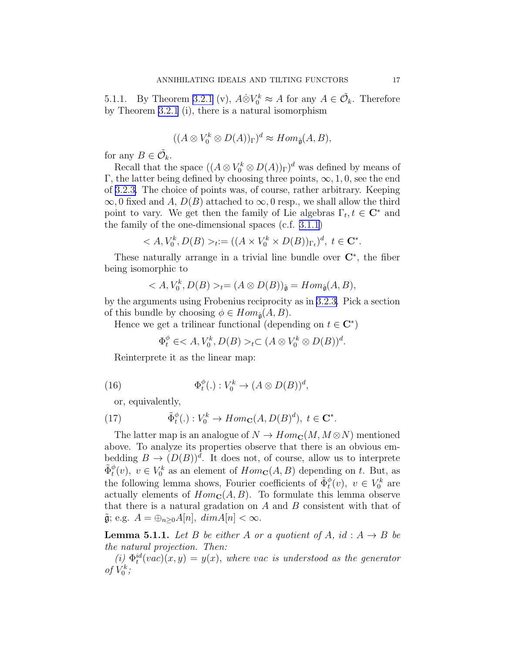<span id="page-16-0"></span>5.1.1. By Theorem [3.2.1](#page-10-0) (v),  $A\dot{\otimes}V_0^k \approx A$  for any  $A \in \tilde{\mathcal{O}}_k$ . Therefore by Theorem [3.2.1](#page-10-0) (i), there is a natural isomorphism

$$
((A \otimes V_0^k \otimes D(A))_{\Gamma})^d \approx Hom_{\hat{\mathfrak{g}}}(A, B),
$$

for any  $B \in \tilde{\mathcal{O}}_k$ .

Recall that the space  $((A \otimes V_0^k \otimes D(A))_{\Gamma})^d$  was defined by means of Γ, the latter being defined by choosing three points,  $\infty$ , 1, 0, see the end of [3.2.3.](#page-11-0) The choice of points was, of course, rather arbitrary. Keeping  $\infty$ , 0 fixed and A,  $D(B)$  attached to  $\infty$ , 0 resp., we shall allow the third point to vary. We get then the family of Lie algebras  $\Gamma_t, t \in \mathbb{C}^*$  and the family of the one-dimensional spaces (c.f. [3.1.1\)](#page-8-0)

$$
\langle A, V_0^k, D(B) \rangle_t := ((A \times V_0^k \times D(B))_{\Gamma_t})^d, \ t \in \mathbf{C}^*.
$$

These naturally arrange in a trivial line bundle over  $\mathbb{C}^*$ , the fiber being isomorphic to

$$
\langle A, V_0^k, D(B) \rangle_t = (A \otimes D(B))_{\tilde{\mathfrak{g}}} = Hom_{\hat{\mathfrak{g}}}(A, B),
$$

by the arguments using Frobenius reciprocity as in [3.2.3.](#page-11-0) Pick a section of this bundle by choosing  $\phi \in Hom_{\hat{\mathfrak{a}}}(A, B)$ .

Hence we get a trilinear functional (depending on  $t \in \mathbb{C}^*$ )

$$
\Phi_t^{\phi} \in _t \subset (A \otimes V_0^k \otimes D(B))^d.
$$

Reinterprete it as the linear map:

(16) 
$$
\Phi_t^{\phi}(.): V_0^k \to (A \otimes D(B))^d,
$$

or, equivalently,

(17) 
$$
\tilde{\Phi}_t^{\phi}(.): V_0^k \to Hom_{\mathbf{C}}(A, D(B)^d), \ t \in \mathbf{C}^*.
$$

The latter map is an analogue of  $N \to Hom_{\mathbb{C}}(M, M \otimes N)$  mentioned above. To analyze its properties observe that there is an obvious embedding  $B \to (D(B))^d$ . It does not, of course, allow us to interprete  $\tilde{\Phi}_t^{\phi}(v)$ ,  $v \in V_0^k$  as an element of  $Hom_{\mathbf{C}}(A, B)$  depending on t. But, as the following lemma shows, Fourier coefficients of  $\tilde{\Phi}_t^{\phi}(v)$ ,  $v \in V_0^k$  are actually elements of  $Hom_{\mathbf{C}}(A, B)$ . To formulate this lemma observe that there is a natural gradation on  $A$  and  $B$  consistent with that of  $\tilde{\mathfrak{g}}$ ; e.g.  $A = \bigoplus_{n \geq 0} A[n], \ dim A[n] < \infty$ .

**Lemma 5.1.1.** Let B be either A or a quotient of A, id:  $A \rightarrow B$  be the natural projection. Then:

(i)  $\Phi_t^{id}(vac)(x, y) = y(x)$ , where vac is understood as the generator of  $V_0^k$ ;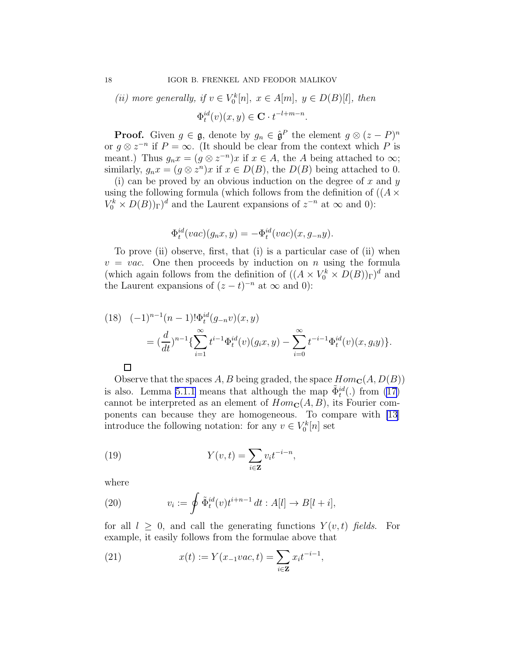(ii) more generally, if  $v \in V_0^k[n]$ ,  $x \in A[m]$ ,  $y \in D(B)[l]$ , then  $\Phi_t^{id}(v)(x, y) \in \mathbf{C} \cdot t^{-l+m-n}.$ 

**Proof.** Given  $g \in \mathfrak{g}$ , denote by  $g_n \in \hat{\mathfrak{g}}^P$  the element  $g \otimes (z - P)^n$ or  $g \otimes z^{-n}$  if  $P = \infty$ . (It should be clear from the context which P is meant.) Thus  $g_n x = (g \otimes z^{-n}) x$  if  $x \in A$ , the A being attached to  $\infty$ ; similarly,  $g_n x = (g \otimes z^n)x$  if  $x \in D(B)$ , the  $D(B)$  being attached to 0.

(i) can be proved by an obvious induction on the degree of  $x$  and  $y$ using the following formula (which follows from the definition of  $((A \times$  $V_0^k \times D(B)$ <sub>r</sub> $)^d$  and the Laurent expansions of  $z^{-n}$  at  $\infty$  and 0):

$$
\Phi_t^{id}(vac)(g_nx, y) = -\Phi_t^{id}(vac)(x, g_{-n}y).
$$

To prove (ii) observe, first, that (i) is a particular case of (ii) when  $v = vac$ . One then proceeds by induction on *n* using the formula (which again follows from the definition of  $((A \times V_0^k \times D(B))_{\Gamma})^d$  and the Laurent expansions of  $(z-t)^{-n}$  at  $\infty$  and 0):

(18) 
$$
(-1)^{n-1}(n-1)!\Phi_t^{id}(g_{-n}v)(x,y)
$$

$$
= (\frac{d}{dt})^{n-1}\left\{\sum_{i=1}^{\infty} t^{i-1}\Phi_t^{id}(v)(g_ix,y) - \sum_{i=0}^{\infty} t^{-i-1}\Phi_t^{id}(v)(x,g_iy)\right\}.
$$

 $\Box$ 

Observe that the spaces A, B being graded, the space  $Hom_{\mathbf{C}}(A, D(B))$ is also. Lemma [5.1.1](#page-16-0) means that although the map  $\tilde{\Phi}^{id}_t(.)$  from [\(17\)](#page-16-0) cannot be interpreted as an element of  $Hom_{\mathbf{C}}(A, B)$ , its Fourier components can because they are homogeneous. To compare with [\[13](#page-28-0)] introduce the following notation: for any  $v \in V_0^k[n]$  set

(19) 
$$
Y(v,t) = \sum_{i \in \mathbf{Z}} v_i t^{-i-n},
$$

where

(20) 
$$
v_i := \oint \tilde{\Phi}_t^{id}(v)t^{i+n-1} dt : A[l] \to B[l+i],
$$

for all  $l \geq 0$ , and call the generating functions  $Y(v, t)$  fields. For example, it easily follows from the formulae above that

(21) 
$$
x(t) := Y(x_{-1}vac, t) = \sum_{i \in \mathbf{Z}} x_i t^{-i-1},
$$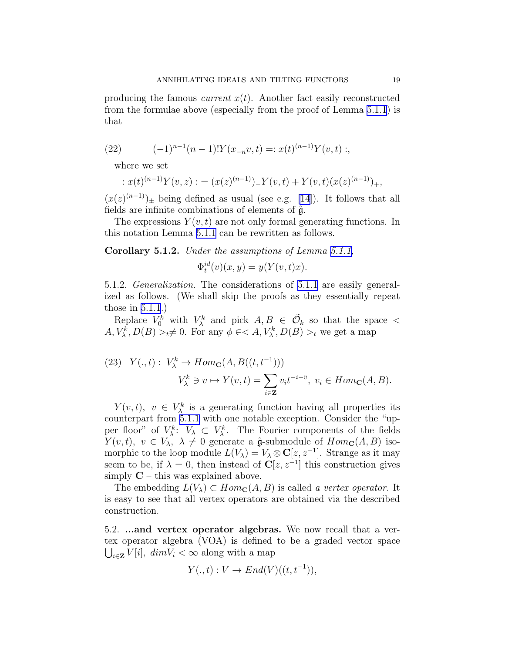<span id="page-18-0"></span>producing the famous *current*  $x(t)$ . Another fact easily reconstructed from the formulae above (especially from the proof of Lemma [5.1.1](#page-16-0)) is that

(22) 
$$
(-1)^{n-1}(n-1)!Y(x_{-n}v,t) =: x(t)^{(n-1)}Y(v,t) ;
$$

where we set

$$
: x(t)^{(n-1)}Y(v, z) : = (x(z)^{(n-1)})^{-1}Y(v, t) + Y(v, t)(x(z)^{(n-1)})^{+},
$$

 $(x(z)^{(n-1)})_{\pm}$  being defined as usual (see e.g. [\[14\]](#page-28-0)). It follows that all fields are infinite combinations of elements of  $\hat{\mathfrak{g}}$ .

The expressions  $Y(v, t)$  are not only formal generating functions. In this notation Lemma [5.1.1](#page-16-0) can be rewritten as follows.

Corollary 5.1.2. Under the assumptions of Lemma [5.1.1,](#page-16-0)

$$
\Phi_t^{id}(v)(x, y) = y(Y(v, t)x).
$$

5.1.2. Generalization. The considerations of [5.1.1](#page-16-0) are easily generalized as follows. (We shall skip the proofs as they essentially repeat those in [5.1.1](#page-16-0).)

Replace  $V_0^k$  with  $V_\lambda^k$  and pick  $A, B \in \tilde{\mathcal{O}}_k$  so that the space  $\lt$  $A, V_{\lambda}^{k}, D(B) >_{t} \neq 0$ . For any  $\phi \in A, V_{\lambda}^{k}, D(B) >_{t}$  we get a map

(23) 
$$
Y(.,t): V^k_{\lambda} \to Hom_{\mathbf{C}}(A, B((t, t^{-1})))
$$
  
\n $V^k_{\lambda} \ni v \mapsto Y(v,t) = \sum_{i \in \mathbf{Z}} v_i t^{-i-\tilde{v}}, v_i \in Hom_{\mathbf{C}}(A, B).$ 

 $Y(v,t)$ ,  $v \in V^k_\lambda$  is a generating function having all properties its counterpart from [5.1.1](#page-16-0) with one notable exception. Consider the "upper floor" of  $V_{\lambda}^k$ :  $V_{\lambda} \subset V_{\lambda}^k$ . The Fourier components of the fields  $Y(v, t), v \in V_\lambda, \lambda \neq 0$  generate a  $\hat{\mathfrak{g}}$ -submodule of  $Hom_{\mathbf{C}}(A, B)$  isomorphic to the loop module  $L(V_\lambda) = V_\lambda \otimes \mathbf{C}[z, z^{-1}]$ . Strange as it may seem to be, if  $\lambda = 0$ , then instead of  $\mathbb{C}[z, z^{-1}]$  this construction gives simply  $C$  – this was explained above.

The embedding  $L(V_\lambda) \subset Hom_{\mathbf{C}}(A, B)$  is called a vertex operator. It is easy to see that all vertex operators are obtained via the described construction.

5.2. ...and vertex operator algebras. We now recall that a vertex operator algebra (VOA) is defined to be a graded vector space  $\bigcup_{i\in\mathbf{Z}} V[i], \; dim\tilde{V}_i < \infty$  along with a map

$$
Y(.,t): V \to End(V)((t,t^{-1})),
$$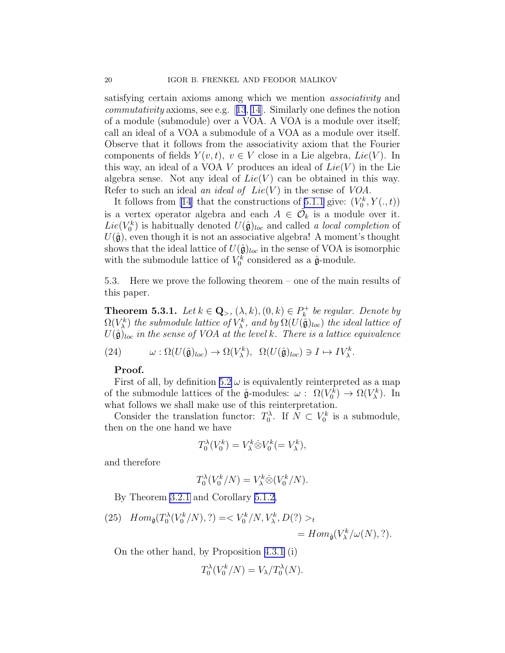<span id="page-19-0"></span>satisfying certain axioms among which we mention associativity and *commutativity*axioms, see e.g.  $[13, 14]$  $[13, 14]$  $[13, 14]$  $[13, 14]$  $[13, 14]$ . Similarly one defines the notion of a module (submodule) over a VOA. A VOA is a module over itself; call an ideal of a VOA a submodule of a VOA as a module over itself. Observe that it follows from the associativity axiom that the Fourier components of fields  $Y(v, t)$ ,  $v \in V$  close in a Lie algebra, Lie(V). In this way, an ideal of a VOA V produces an ideal of  $Lie(V)$  in the Lie algebra sense. Not any ideal of  $Lie(V)$  can be obtained in this way. Refer to such an ideal an ideal of  $Lie(V)$  in the sense of  $VOA$ .

It follows from [\[14\]](#page-28-0) that the constructions of [5.1.1](#page-16-0) give:  $(V_0^k, Y(., t))$ is a vertex operator algebra and each  $A \in \tilde{\mathcal{O}}_k$  is a module over it.  $Lie(V_0^k)$  is habitually denoted  $U(\hat{\mathfrak{g}})_{loc}$  and called a local completion of  $U(\hat{\mathfrak{g}})$ , even though it is not an associative algebra! A moment's thought shows that the ideal lattice of  $U(\hat{\mathfrak{g}})_{loc}$  in the sense of VOA is isomorphic with the submodule lattice of  $V_0^k$  considered as a  $\hat{\mathfrak{g}}$ -module.

5.3. Here we prove the following theorem – one of the main results of this paper.

**Theorem 5.3.1.** Let  $k \in \mathbf{Q}_{>}, (\lambda, k), (0, k) \in P_k^+$  $k^+$  be regular. Denote by  $\Omega(V_{\lambda}^k)$  the submodule lattice of  $V_{\lambda}^k$ , and by  $\Omega(U(\hat{\mathfrak{g}})_{loc})$  the ideal lattice of  $U(\hat{\mathfrak{g}})_{loc}$  in the sense of VOA at the level k. There is a lattice equivalence

(24) 
$$
\omega : \Omega(U(\hat{\mathfrak{g}})_{loc}) \to \Omega(V_{\lambda}^k), \ \Omega(U(\hat{\mathfrak{g}})_{loc}) \ni I \mapsto IV_{\lambda}^k.
$$

### Proof.

First of all, by definition [5.2](#page-18-0)  $\omega$  is equivalently reinterpreted as a map of the submodule lattices of the  $\hat{\mathfrak{g}}$ -modules:  $\omega$ :  $\Omega(V_0^k) \to \Omega(V_\lambda^k)$ . In what follows we shall make use of this reinterpretation.

Consider the translation functor:  $T_0^{\lambda}$ . If  $N \subset V_0^k$  is a submodule, then on the one hand we have

$$
T_0^{\lambda}(V_0^k) = V_{\lambda}^k \dot{\otimes} V_0^k (= V_{\lambda}^k),
$$

and therefore

$$
T_0^{\lambda}(V_0^k/N) = V_{\lambda}^k \dot{\otimes} (V_0^k/N).
$$

By Theorem [3.2.1](#page-10-0) and Corollary [5.1.2,](#page-18-0)

(25)  $Hom_{\hat{\mathfrak{g}}}(T_0^{\lambda})$  $\delta_0^{\lambda}(V_0^k)$  $V_0^k/N, ?$ ) = <  $V_0^k/N, V_\lambda^k, D$  $(?) >_t$  $= Hom_{\hat{\mathfrak{g}}}(V_{\lambda}^k/\omega(N), ?).$ 

On the other hand, by Proposition [4.3.1](#page-13-0) (i)

$$
T_0^{\lambda}(V_0^k/N) = V_{\lambda}/T_0^{\lambda}(N).
$$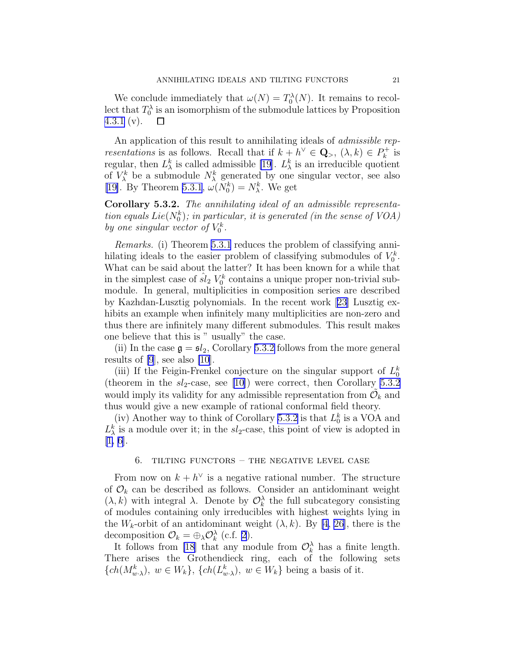We conclude immediately that  $\omega(N) = T_0^{\lambda}(N)$ . It remains to recollect that  $T_0^{\lambda}$  is an isomorphism of the submodule lattices by Proposition [4.3.1](#page-13-0) (v).  $\Box$ 

An application of this result to annihilating ideals of *admissible representations* is as follows. Recall that if  $k + h^{\vee} \in \mathbf{Q}_{>}, (\lambda, k) \in P_k^+$  $\kappa$ <sup>+</sup> is regular, then  $L^k_{\lambda}$  is called admissible [\[19](#page-28-0)].  $L^k_{\lambda}$  is an irreducible quotient of  $V_{\lambda}^{k}$  be a submodule  $N_{\lambda}^{k}$  generated by one singular vector, see also [[19\]](#page-28-0). By Theorem [5.3.1](#page-19-0),  $\omega(N_0^k) = N_{\lambda}^k$ . We get

Corollary 5.3.2. The annihilating ideal of an admissible representation equals  $Lie(N_0^k)$ ; in particular, it is generated (in the sense of VOA) by one singular vector of  $V_0^k$ .

Remarks. (i) Theorem [5.3.1](#page-19-0) reduces the problem of classifying annihilating ideals to the easier problem of classifying submodules of  $V_0^k$ . What can be said about the latter? It has been known for a while that in the simplest case of  $\hat{sl}_2$   $V_0^k$  contains a unique proper non-trivial submodule. In general, multiplicities in composition series are described by Kazhdan-Lusztig polynomials. In the recent work[[23\]](#page-28-0) Lusztig exhibits an example when infinitely many multiplicities are non-zero and thus there are infinitely many different submodules. This result makes one believe that this is " usually" the case.

(ii) In the case  $\mathfrak{g} = \mathfrak{sl}_2$ , Corollary 5.3.2 follows from the more general results of [\[9](#page-28-0)], see also [\[10](#page-28-0)].

(iii) If the Feigin-Frenkel conjecture on the singular support of  $L_0^k$ (theorem in the  $sl_2$ -case, see [\[10](#page-28-0)]) were correct, then Corollary 5.3.2 would imply its validity for any admissible representation from  $\tilde{\mathcal{O}}_k$  and thus would give a new example of rational conformal field theory.

(iv) Another way to think of Corollary 5.3.2 is that  $L_0^k$  is a VOA and  $L^k_{\lambda}$  is a module over it; in the  $sl_2$ -case, this point of view is adopted in [[1, 6\]](#page-28-0).

# 6. TILTING FUNCTORS  $-$  THE NEGATIVE LEVEL CASE

From now on  $k + h^{\vee}$  is a negative rational number. The structure of  $\mathcal{O}_k$  can be described as follows. Consider an antidominant weight  $(\lambda, k)$  with integral  $\lambda$ . Denote by  $\mathcal{O}_k^{\lambda}$  the full subcategory consisting of modules containing only irreducibles with highest weights lying in the  $W_k$ -orbit of an antidominant weight  $(\lambda, k)$ . By [\[4](#page-28-0), [26\]](#page-28-0), there is the decomposition  $\mathcal{O}_k = \bigoplus_{\lambda} \mathcal{O}_k^{\lambda}$  (c.f. [2](#page-6-0)).

It follows from [\[18\]](#page-28-0) that any module from  $\mathcal{O}_k^{\lambda}$  has a finite length. There arises the Grothendieck ring, each of the following sets  $\{ch(M_{w\cdot\lambda}^k), w \in W_k\}, \{ch(L_{w\cdot\lambda}^k), w \in W_k\}$  being a basis of it.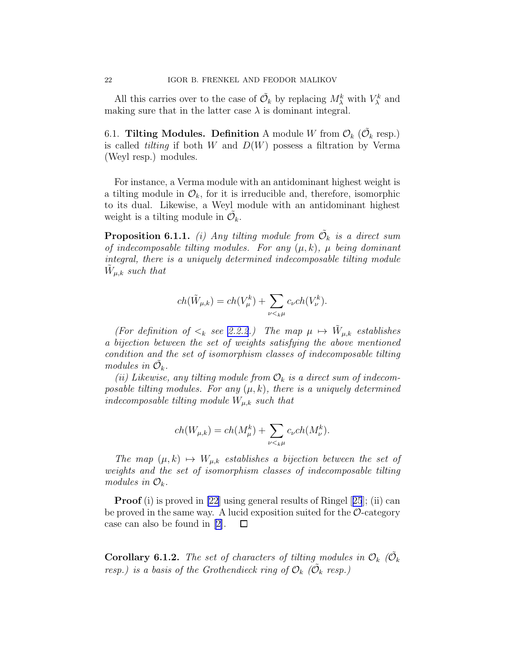<span id="page-21-0"></span>All this carries over to the case of  $\tilde{\mathcal{O}}_k$  by replacing  $M^k_\lambda$  with  $V^k_\lambda$  and making sure that in the latter case  $\lambda$  is dominant integral.

6.1. Tilting Modules. Definition A module W from  $\mathcal{O}_k$  ( $\tilde{\mathcal{O}}_k$  resp.) is called *tilting* if both W and  $D(W)$  possess a filtration by Verma (Weyl resp.) modules.

For instance, a Verma module with an antidominant highest weight is a tilting module in  $\mathcal{O}_k$ , for it is irreducible and, therefore, isomorphic to its dual. Likewise, a Weyl module with an antidominant highest weight is a tilting module in  $\tilde{\mathcal{O}}_k$ .

**Proposition 6.1.1.** (i) Any tilting module from  $\tilde{\mathcal{O}}_k$  is a direct sum of indecomposable tilting modules. For any  $(\mu, k)$ ,  $\mu$  being dominant integral, there is a uniquely determined indecomposable tilting module  $\tilde{W}_{\mu,k}$  such that

$$
ch(\tilde{W}_{\mu,k}) = ch(V_{\mu}^k) + \sum_{\nu \leq k\mu} c_{\nu} ch(V_{\nu}^k).
$$

(For definition of  $\lt_k$  see [2.2.2](#page-8-0).) The map  $\mu \mapsto \tilde{W}_{\mu,k}$  establishes a bijection between the set of weights satisfying the above mentioned condition and the set of isomorphism classes of indecomposable tilting modules in  $\tilde{\mathcal{O}}_k$ .

(ii) Likewise, any tilting module from  $\mathcal{O}_k$  is a direct sum of indecomposable tilting modules. For any  $(\mu, k)$ , there is a uniquely determined indecomposable tilting module  $W_{\mu,k}$  such that

$$
ch(W_{\mu,k}) = ch(M_{\mu}^k) + \sum_{\nu \leq k\mu} c_{\nu} ch(M_{\nu}^k).
$$

The map  $(\mu, k) \mapsto W_{\mu, k}$  establishes a bijection between the set of weights and the set of isomorphism classes of indecomposable tilting modules in  $\mathcal{O}_k$ .

**Proof** (i) is proved in [\[22](#page-28-0)]using general results of Ringel [[25](#page-28-0)]; (ii) can be proved in the same way. A lucid exposition suited for the  $\mathcal{O}\text{-category}$ case can also be found in [\[2\]](#page-28-0).  $\Box$ 

**Corollary 6.1.2.** The set of characters of tilting modules in  $\mathcal{O}_k$  ( $\tilde{\mathcal{O}}_k$ ) resp.) is a basis of the Grothendieck ring of  $\mathcal{O}_k$  ( $\tilde{\mathcal{O}}_k$  resp.)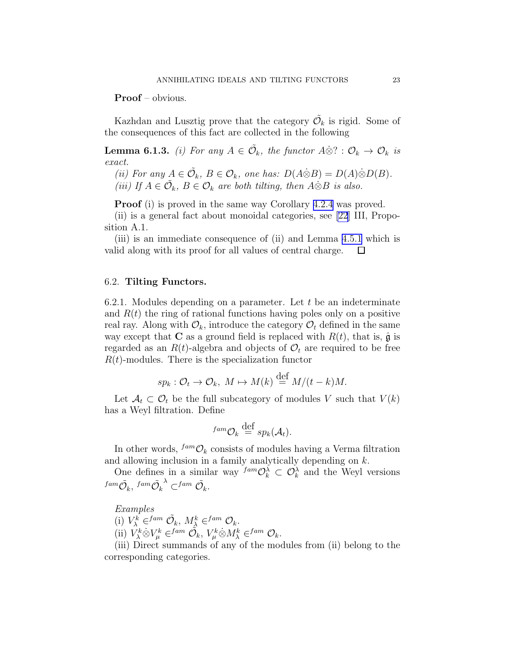<span id="page-22-0"></span>Proof – obvious.

Kazhdan and Lusztig prove that the category  $\tilde{\mathcal{O}}_k$  is rigid. Some of the consequences of this fact are collected in the following

**Lemma 6.1.3.** (i) For any  $A \in \tilde{\mathcal{O}}_k$ , the functor  $A \dot{\otimes} ? : \mathcal{O}_k \to \mathcal{O}_k$  is exact.

(ii) For any  $A \in \tilde{\mathcal{O}}_k$ ,  $B \in \mathcal{O}_k$ , one has:  $D(A \otimes B) = D(A) \otimes D(B)$ . (iii) If  $A \in \tilde{\mathcal{O}}_k$ ,  $B \in \mathcal{O}_k$  are both tilting, then  $A \dot{\otimes} B$  is also.

Proof (i) is proved in the same way Corollary [4.2.4](#page-12-0) was proved.

(ii) is a general fact about monoidal categories, see [\[22](#page-28-0)] III, Proposition A.1.

(iii) is an immediate consequence of (ii) and Lemma [4.5.1](#page-15-0) which is valid along with its proof for all values of central charge.  $\Box$ 

# 6.2. Tilting Functors.

6.2.1. Modules depending on a parameter. Let  $t$  be an indeterminate and  $R(t)$  the ring of rational functions having poles only on a positive real ray. Along with  $\mathcal{O}_k$ , introduce the category  $\mathcal{O}_t$  defined in the same way except that **C** as a ground field is replaced with  $R(t)$ , that is,  $\hat{\mathbf{g}}$  is regarded as an  $R(t)$ -algebra and objects of  $\mathcal{O}_t$  are required to be free  $R(t)$ -modules. There is the specialization functor

$$
sp_k: \mathcal{O}_t \to \mathcal{O}_k, M \mapsto M(k) \stackrel{\text{def}}{=} M/(t-k)M.
$$

Let  $A_t \subset \mathcal{O}_t$  be the full subcategory of modules V such that  $V(k)$ has a Weyl filtration. Define

$$
^{fam}\mathcal{O}_k\stackrel{\mathrm{def}}{=}sp_k(\mathcal{A}_t).
$$

In other words,  $f^{am}\mathcal{O}_k$  consists of modules having a Verma filtration and allowing inclusion in a family analytically depending on k.

One defines in a similar way  $\lim_{k \to \infty} O_k^{\lambda} \subset O_k^{\lambda}$  and the Weyl versions  $^{fam}\tilde{\mathcal{O}}_k,$   $^{fam}\tilde{\mathcal{O}}_k$  $\lambda$   $\subset$  fam  $\tilde{\mathcal{O}}_k$ .

Examples

(i)  $V_{\lambda}^{k} \in f^{am} \tilde{\mathcal{O}}_{k}, M_{\lambda}^{k} \in f^{am} \mathcal{O}_{k}.$ 

(ii)  $V^k_\lambda \otimes V^k_\mu \in f^{am} \tilde{\mathcal{O}}_k$ ,  $V^k_\mu \otimes M^k_\lambda \in f^{am} \mathcal{O}_k$ .

(iii) Direct summands of any of the modules from (ii) belong to the corresponding categories.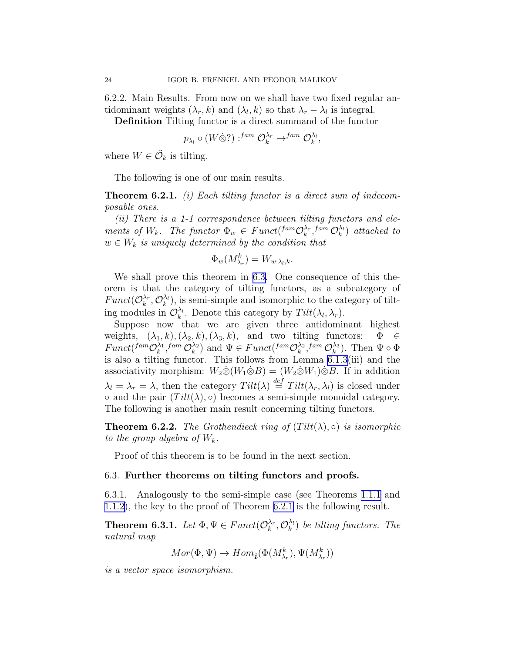<span id="page-23-0"></span>6.2.2. Main Results. From now on we shall have two fixed regular antidominant weights  $(\lambda_r, k)$  and  $(\lambda_l, k)$  so that  $\lambda_r - \lambda_l$  is integral.

Definition Tilting functor is a direct summand of the functor

$$
p_{\lambda_l} \circ (W \dot{\otimes} ?) :^{fam} \mathcal{O}_k^{\lambda_r} \to^{fam} \mathcal{O}_k^{\lambda_l},
$$

where  $W \in \tilde{\mathcal{O}}_k$  is tilting.

The following is one of our main results.

**Theorem 6.2.1.** (i) Each tilting functor is a direct sum of indecomposable ones.

(ii) There is a 1-1 correspondence between tilting functors and elements of  $W_k$ . The functor  $\Phi_w \in Funct({}^{fam}{\mathcal{O}}_k^{\lambda_r})$  $_{k}^{\lambda_{r}},$ fam  $\mathcal{O}_{k}^{\lambda_{l}}$  $\binom{\lambda_l}{k}$  attached to  $w \in W_k$  is uniquely determined by the condition that

$$
\Phi_w(M_{\lambda_r}^k) = W_{w \cdot \lambda_l, k}.
$$

We shall prove this theorem in 6.3. One consequence of this theorem is that the category of tilting functors, as a subcategory of  $Funct(\mathcal{O}_{k}^{\lambda_{r}}$  $_{k}^{\lambda_{r}},\mathcal{O}_{k}^{\lambda_{l}}$  $\lambda_k^{\lambda_l}$ , is semi-simple and isomorphic to the category of tilting modules in  $\mathcal{O}_k^{\lambda_l}$  $\lambda_k^{\lambda_l}$ . Denote this category by  $Tilt(\lambda_l, \lambda_r)$ .

Suppose now that we are given three antidominant highest weights,  $(\lambda_1, k), (\lambda_2, k), (\lambda_3, k)$ , and two tilting functors:  $\Phi \in$  $Funct({}^{fam}{\cal O}_{k}^{\lambda_1})$  $_{k}^{\lambda _{1}},^{fam}\mathcal{O}_{k}^{\lambda _{2}}$  $\lambda_k^{\lambda_2}$ ) and  $\Psi \in Funct(^{fam}\mathcal{O}_k^{\lambda_2})$  $_{k}^{\lambda_{2}},$ fam  $\mathcal{O}_{k}^{\lambda_{3}}$  $\binom{\lambda_3}{k}$ . Then  $\Psi \circ \Phi$ is also a tilting functor. This follows from Lemma [6.1.3\(](#page-22-0)iii) and the associativity morphism:  $W_2 \otimes (W_1 \otimes B) = (W_2 \otimes W_1) \otimes B$ . If in addition  $\lambda_l = \lambda_r = \lambda$ , then the category  $Tilt(\lambda) \stackrel{def}{=} Tilt(\lambda_r, \lambda_l)$  is closed under • and the pair  $(Tilt(\lambda), \circ)$  becomes a semi-simple monoidal category. The following is another main result concerning tilting functors.

**Theorem 6.2.2.** The Grothendieck ring of  $(Tilt(\lambda), \circ)$  is isomorphic to the group algebra of  $W_k$ .

Proof of this theorem is to be found in the next section.

# 6.3. Further theorems on tilting functors and proofs.

6.3.1. Analogously to the semi-simple case (see Theorems [1.1.1](#page-2-0) and [1.1.2\)](#page-2-0), the key to the proof of Theorem 6.2.1 is the following result.

**Theorem 6.3.1.** Let  $\Phi, \Psi \in Funct(\mathcal{O}_k^{\lambda_r})$  $_{k}^{\lambda_{r}},\mathcal{O}_{k}^{\lambda_{l}}$  $\binom{\lambda_l}{k}$  be tilting functors. The natural map

 $Mor(\Phi, \Psi) \rightarrow Hom_{\hat{\mathfrak{g}}}(\Phi(M_{\lambda_r}^k), \Psi(M_{\lambda_r}^k))$ 

is a vector space isomorphism.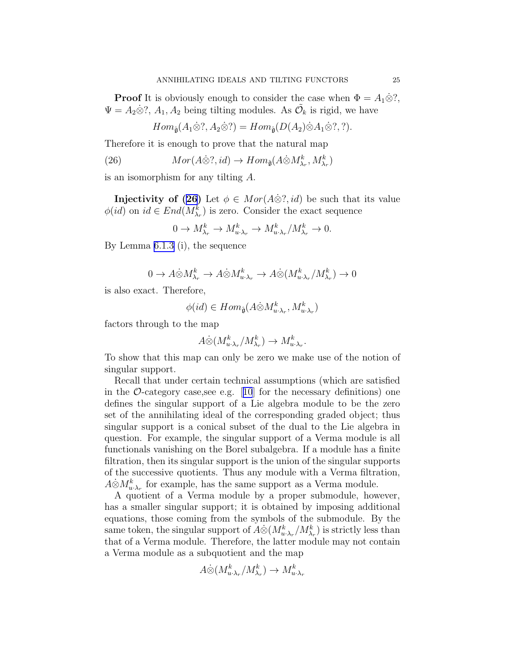<span id="page-24-0"></span>**Proof** It is obviously enough to consider the case when  $\Phi = A_1 \otimes ?$ ,  $\Psi = A_2 \dot{\otimes} ?$ ,  $A_1, A_2$  being tilting modules. As  $\tilde{\mathcal{O}}_k$  is rigid, we have

$$
Hom_{\hat{\mathfrak{g}}}(A_1 \otimes ?, A_2 \otimes ?) = Hom_{\hat{\mathfrak{g}}}(D(A_2) \otimes A_1 \otimes ?, ?).
$$

Therefore it is enough to prove that the natural map

(26) 
$$
Mor(A\dot{\otimes}?,id) \to Hom_{\hat{\mathfrak{g}}}(A\dot{\otimes} M_{\lambda_r}^k, M_{\lambda_r}^k)
$$

is an isomorphism for any tilting A.

**Injectivity of (26)** Let  $\phi \in Mor(A \otimes ?, id)$  be such that its value  $\phi(id)$  on  $id \in End(M_{\lambda_r}^k)$  is zero. Consider the exact sequence

$$
0 \to M^k_{\lambda_r} \to M^k_{u \cdot \lambda_r} \to M^k_{u \cdot \lambda_r} / M^k_{\lambda_r} \to 0.
$$

By Lemma [6.1.3](#page-22-0) (i), the sequence

$$
0 \to A \dot{\otimes} M_{\lambda_r}^k \to A \dot{\otimes} M_{u \cdot \lambda_r}^k \to A \dot{\otimes} (M_{u \cdot \lambda_r}^k / M_{\lambda_r}^k) \to 0
$$

is also exact. Therefore,

$$
\phi(id) \in Hom_{\hat{\mathfrak{g}}}(A \dot{\otimes} M_{u \cdot \lambda_r}^k, M_{u \cdot \lambda_r}^k)
$$

factors through to the map

$$
A \dot{\otimes} (M_{u \cdot \lambda_r}^k / M_{\lambda_r}^k) \to M_{u \cdot \lambda_r}^k.
$$

To show that this map can only be zero we make use of the notion of singular support.

Recall that under certain technical assumptions (which are satisfied inthe  $\mathcal{O}\text{-category case, see e.g.}$  [[10](#page-28-0)] for the necessary definitions) one defines the singular support of a Lie algebra module to be the zero set of the annihilating ideal of the corresponding graded object; thus singular support is a conical subset of the dual to the Lie algebra in question. For example, the singular support of a Verma module is all functionals vanishing on the Borel subalgebra. If a module has a finite filtration, then its singular support is the union of the singular supports of the successive quotients. Thus any module with a Verma filtration,  $A\dot{\otimes} M_{u\cdot\lambda_r}^k$  for example, has the same support as a Verma module.

A quotient of a Verma module by a proper submodule, however, has a smaller singular support; it is obtained by imposing additional equations, those coming from the symbols of the submodule. By the same token, the singular support of  $A\dot{\otimes} (M_{u\cdot\lambda_r}^k/M_{\lambda_r}^k)$  is strictly less than that of a Verma module. Therefore, the latter module may not contain a Verma module as a subquotient and the map

$$
A \dot{\otimes} (M_{u \cdot \lambda_r}^k / M_{\lambda_r}^k) \to M_{u \cdot \lambda_r}^k
$$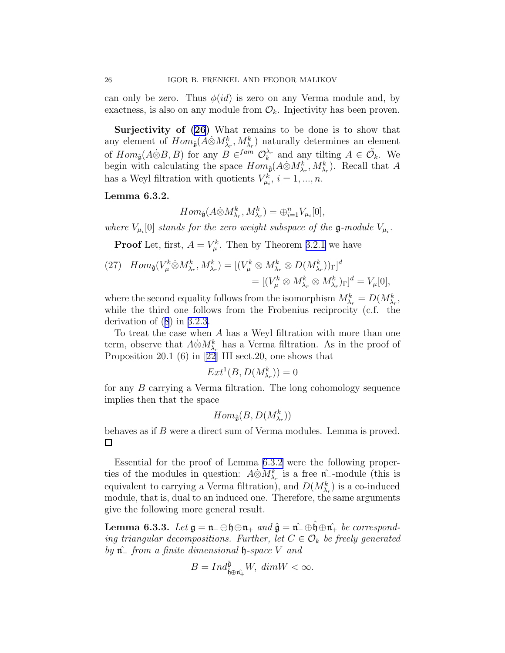can only be zero. Thus  $\phi(id)$  is zero on any Verma module and, by exactness, is also on any module from  $\mathcal{O}_k$ . Injectivity has been proven.

Surjectivityof  $(26)$  $(26)$  $(26)$  What remains to be done is to show that any element of  $Hom_{\hat{\mathfrak{g}}}(A \dot{\otimes} M_{\lambda_r}^k, M_{\lambda_r}^k)$  naturally determines an element of  $Hom_{\hat{\mathfrak{g}}}(A \dot{\otimes} B, B)$  for any  $B \in \text{Hom } \mathcal{O}_k^{\lambda_r}$  $\lambda_r^{\lambda_r}$  and any tilting  $A \in \tilde{\mathcal{O}}_k$ . We begin with calculating the space  $Hom_{\hat{\mathfrak{g}}}(A \dot{\otimes} M_{\lambda_r}^k, M_{\lambda_r}^k)$ . Recall that A has a Weyl filtration with quotients  $V_{\mu i}^k$ ,  $i = 1, ..., n$ .

# Lemma 6.3.2.

$$
Hom_{\hat{\mathfrak{g}}}(A\dot{\otimes} M_{\lambda_r}^k, M_{\lambda_r}^k) = \bigoplus_{i=1}^n V_{\mu_i}[0],
$$

where  $V_{\mu_i}[0]$  stands for the zero weight subspace of the **g**-module  $V_{\mu_i}$ .

**Proof** Let, first,  $A = V^k_\mu$ . Then by Theorem [3.2.1](#page-10-0) we have

(27) 
$$
Hom_{\hat{\mathfrak{g}}}(V_{\mu}^{k} \otimes M_{\lambda_{r}}^{k}, M_{\lambda_{r}}^{k}) = [(V_{\mu}^{k} \otimes M_{\lambda_{r}}^{k} \otimes D(M_{\lambda_{r}}^{k}))_{\Gamma}]^{d}
$$
  

$$
= [(V_{\mu}^{k} \otimes M_{\lambda_{r}}^{k} \otimes M_{\lambda_{r}}^{k})_{\Gamma}]^{d} = V_{\mu}[0],
$$

where the second equality follows from the isomorphism  $M_{\lambda_r}^k = D(M_{\lambda_r}^k, \cdot)$ while the third one follows from the Frobenius reciprocity (c.f. the derivation of([8](#page-11-0)) in [3.2.3.](#page-11-0)

To treat the case when A has a Weyl filtration with more than one term, observe that  $A\dot{\otimes} M_{\lambda_r}^k$  has a Verma filtration. As in the proof of Proposition 20.1 (6) in  $[22]$  III sect. 20, one shows that

$$
Ext^1(B, D(M^k_{\lambda_r})) = 0
$$

for any B carrying a Verma filtration. The long cohomology sequence implies then that the space

$$
Hom_{\hat{\mathfrak{g}}}(B, D(M^k_{\lambda_r}))
$$

behaves as if B were a direct sum of Verma modules. Lemma is proved.  $\Box$ 

Essential for the proof of Lemma 6.3.2 were the following properties of the modules in question:  $A\dot{\otimes} M_{\lambda_r}^k$  is a free  $\hat{\mathfrak{n}}$ <sub>-</sub>module (this is equivalent to carrying a Verma filtration), and  $D(M_{\lambda_r}^k)$  is a co-induced module, that is, dual to an induced one. Therefore, the same arguments give the following more general result.

Lemma 6.3.3. Let  $\mathfrak{g} = \mathfrak{n}_-\oplus \mathfrak{h} \oplus \mathfrak{n}_+$  and  $\hat{\mathfrak{g}} = \hat{\mathfrak{n}}_-\oplus \mathfrak{h} \oplus \hat{\mathfrak{n}}_+$  be corresponding triangular decompositions. Further, let  $C \in \mathcal{O}_k$  be freely generated by  $\hat{\mathfrak{n}}$  from a finite dimensional  $\mathfrak{h}$ -space V and

$$
B=Ind_{\hat{\mathfrak{h}}\oplus \hat{\mathfrak{n}_+}}^{\hat{\mathfrak{g}}}W,\ dim W<\infty.
$$

<span id="page-25-0"></span>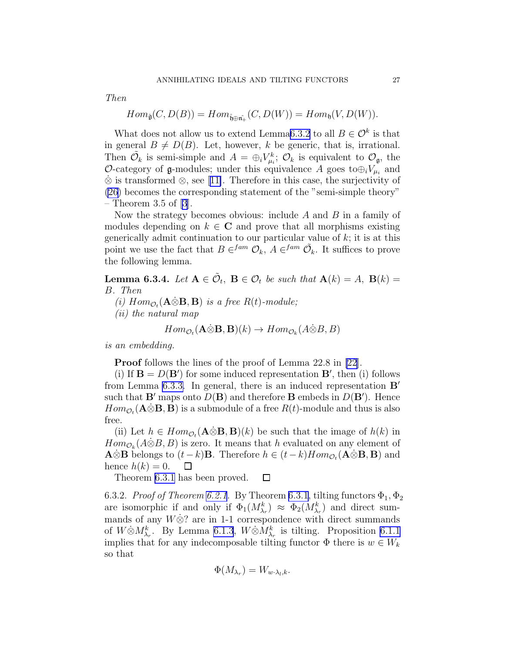Then

$$
Hom_{\hat{\mathfrak{g}}}(C, D(B)) = Hom_{\hat{\mathfrak{h}} \oplus \hat{\mathfrak{n}_{+}}}(C, D(W)) = Hom_{\mathfrak{h}}(V, D(W)).
$$

What does not allow us to extend Lemma[6.3.2](#page-25-0) to all  $B \in \mathcal{O}^k$  is that in general  $B \neq D(B)$ . Let, however, k be generic, that is, irrational. Then  $\tilde{\mathcal{O}}_k$  is semi-simple and  $A = \bigoplus_i V_{\mu_i}^k$ ;  $\mathcal{O}_k$  is equivalent to  $\mathcal{O}_{\mathfrak{g}}$ , the O-category of  $\mathfrak g$ -modules; under this equivalence A goes to $\oplus_i V_{\mu_i}$  and  $\otimes$ is transformed  $\otimes$ , see [[11\]](#page-28-0). Therefore in this case, the surjectivity of [\(26](#page-24-0)) becomes the corresponding statement of the "semi-simple theory" – Theorem 3.5 of [\[3](#page-28-0)].

Now the strategy becomes obvious: include A and B in a family of modules depending on  $k \in \mathbb{C}$  and prove that all morphisms existing generically admit continuation to our particular value of  $k$ ; it is at this point we use the fact that  $B \in \text{Hom } \mathcal{O}_k$ ,  $A \in \text{Hom } \tilde{\mathcal{O}}_k$ . It suffices to prove the following lemma.

**Lemma 6.3.4.** Let  $A \in \tilde{\mathcal{O}}_t$ ,  $B \in \mathcal{O}_t$  be such that  $A(k) = A$ ,  $B(k) =$ B. Then

(i)  $Hom_{\mathcal{O}_t}(\mathbf{A}\ddot{\otimes}\mathbf{B}, \mathbf{B})$  is a free  $R(t)$ -module;

(ii) the natural map

$$
Hom_{\mathcal{O}_t}(\mathbf{A} \dot{\otimes} \mathbf{B}, \mathbf{B})(k) \to Hom_{\mathcal{O}_k}(A \dot{\otimes} B, B)
$$

is an embedding.

Proof follows the lines of the proof of Lemma 22.8 in [\[22\]](#page-28-0).

(i) If  $\mathbf{B} = D(\mathbf{B}')$  for some induced representation  $\mathbf{B}'$ , then (i) follows from Lemma [6.3.3.](#page-25-0) In general, there is an induced representation B′ such that  $\mathbf{B}'$  maps onto  $D(\mathbf{B})$  and therefore  $\mathbf{B}$  embeds in  $D(\mathbf{B}')$ . Hence  $Hom_{\mathcal{O}_t}(\mathbf{A}\ddot{\otimes}\mathbf{B},\mathbf{B})$  is a submodule of a free  $R(t)$ -module and thus is also free.

(ii) Let  $h \in Hom_{\mathcal{O}_t}(\mathbf{A} \dot{\otimes} \mathbf{B}, \mathbf{B})(k)$  be such that the image of  $h(k)$  in  $Hom_{\mathcal{O}_k}(A \dot{\otimes} B, B)$  is zero. It means that h evaluated on any element of  $\mathbf{A}\otimes\mathbf{B}$  belongs to  $(t-k)\mathbf{B}$ . Therefore  $h \in (t-k)Hom_{\mathcal{O}_t}(\mathbf{A}\otimes\mathbf{B}, \mathbf{B})$  and hence  $h(k) = 0$ .  $\Box$ 

Theorem [6.3.1](#page-23-0) has been proved.  $\Box$ 

6.3.2. Proof of Theorem [6.2.1](#page-23-0). By Theorem [6.3.1,](#page-23-0) tilting functors  $\Phi_1$ ,  $\Phi_2$ are isomorphic if and only if  $\Phi_1(M_{\lambda_r}^k) \approx \Phi_2(M_{\lambda_r}^k)$  and direct summands of any  $W\&$ ? are in 1-1 correspondence with direct summands of  $W\dot{\otimes} M_{\lambda_r}^k$ . By Lemma [6.1.3](#page-22-0),  $W\dot{\otimes} M_{\lambda_r}^k$  is tilting. Proposition [6.1.1](#page-21-0) implies that for any indecomposable tilting functor  $\Phi$  there is  $w \in W_k$ so that

$$
\Phi(M_{\lambda_r}) = W_{w \cdot \lambda_l, k}.
$$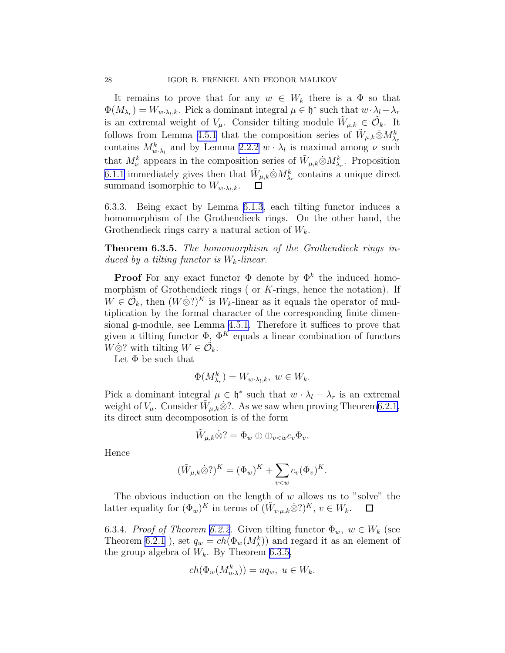It remains to prove that for any  $w \in W_k$  there is a  $\Phi$  so that  $\Phi(M_{\lambda_r}) = W_{w \cdot \lambda_l, k}$ . Pick a dominant integral  $\mu \in \mathfrak{h}^*$  such that  $w \cdot \lambda_l - \lambda_r$ is an extremal weight of  $V_{\mu}$ . Consider tilting module  $\tilde{W}_{\mu,k} \in \tilde{\mathcal{O}}_k$ . It follows from Lemma [4.5.1](#page-15-0) that the composition series of  $\tilde{W}_{\mu,k}\dot{\otimes}M_{\lambda_r}^k$ contains  $M_{w \cdot \lambda_l}^k$  and by Lemma [2.2.2](#page-8-0)  $w \cdot \lambda_l$  is maximal among  $\nu$  such that  $M_{\nu}^{k}$  appears in the composition series of  $\tilde{W}_{\mu,k}\otimes M_{\lambda_{r}}^{k}$ . Proposition [6.1.1](#page-21-0) immediately gives then that  $\tilde{W}_{\mu,k} \dot{\otimes} M_{\lambda_r}^k$  contains a unique direct summand isomorphic to  $W_{w \cdot \lambda_l,k}$ .  $\Box$ 

6.3.3. Being exact by Lemma [6.1.3](#page-22-0), each tilting functor induces a homomorphism of the Grothendieck rings. On the other hand, the Grothendieck rings carry a natural action of  $W_k$ .

Theorem 6.3.5. The homomorphism of the Grothendieck rings induced by a tilting functor is  $W_k$ -linear.

**Proof** For any exact functor  $\Phi$  denote by  $\Phi^k$  the induced homomorphism of Grothendieck rings ( or  $K$ -rings, hence the notation). If  $W \in \tilde{\mathcal{O}}_k$ , then  $(W \dot{\otimes} ?)^K$  is  $W_k$ -linear as it equals the operator of multiplication by the formal character of the corresponding finite dimensional g-module, see Lemma [4.5.1](#page-15-0). Therefore it suffices to prove that given a tilting functor  $\Phi$ ,  $\Phi^{K}$  equals a linear combination of functors  $W\dot{\otimes}$ ? with tilting  $W \in \tilde{\mathcal{O}}_k$ .

Let  $\Phi$  be such that

$$
\Phi(M_{\lambda_r}^k) = W_{w \cdot \lambda_l, k}, \ w \in W_k.
$$

Pick a dominant integral  $\mu \in \mathfrak{h}^*$  such that  $w \cdot \lambda_l - \lambda_r$  is an extremal weight of  $V_\mu$ . Consider  $\tilde{W}_{\mu,k} \otimes ?$ . As we saw when proving Theorem [6.2.1,](#page-23-0) its direct sum decomposotion is of the form

$$
\tilde{W}_{\mu,k}\dot{\otimes}^? = \Phi_w \oplus \oplus_{v < w} c_v \Phi_v.
$$

Hence

$$
(\tilde{W}_{\mu,k}\dot{\otimes}^2)^K = (\Phi_w)^K + \sum_{v < w} c_v (\Phi_v)^K.
$$

The obvious induction on the length of  $w$  allows us to "solve" the latter equality for  $(\Phi_w)^K$  in terms of  $(\tilde{W}_{v\cdot\mu,k}\dot{\otimes}^2)^K$ ,  $v \in W_k$ .  $\Box$ 

6.3.4. Proof of Theorem [6.2.2.](#page-23-0) Given tilting functor  $\Phi_w$ ,  $w \in W_k$  (see Theorem [6.2.1](#page-23-0)), set  $q_w = ch(\Phi_w(M_\lambda^k))$  and regard it as an element of the group algebra of  $W_k$ . By Theorem 6.3.5,

$$
ch(\Phi_w(M_{u\cdot\lambda}^k)) = uq_w, \ u \in W_k.
$$